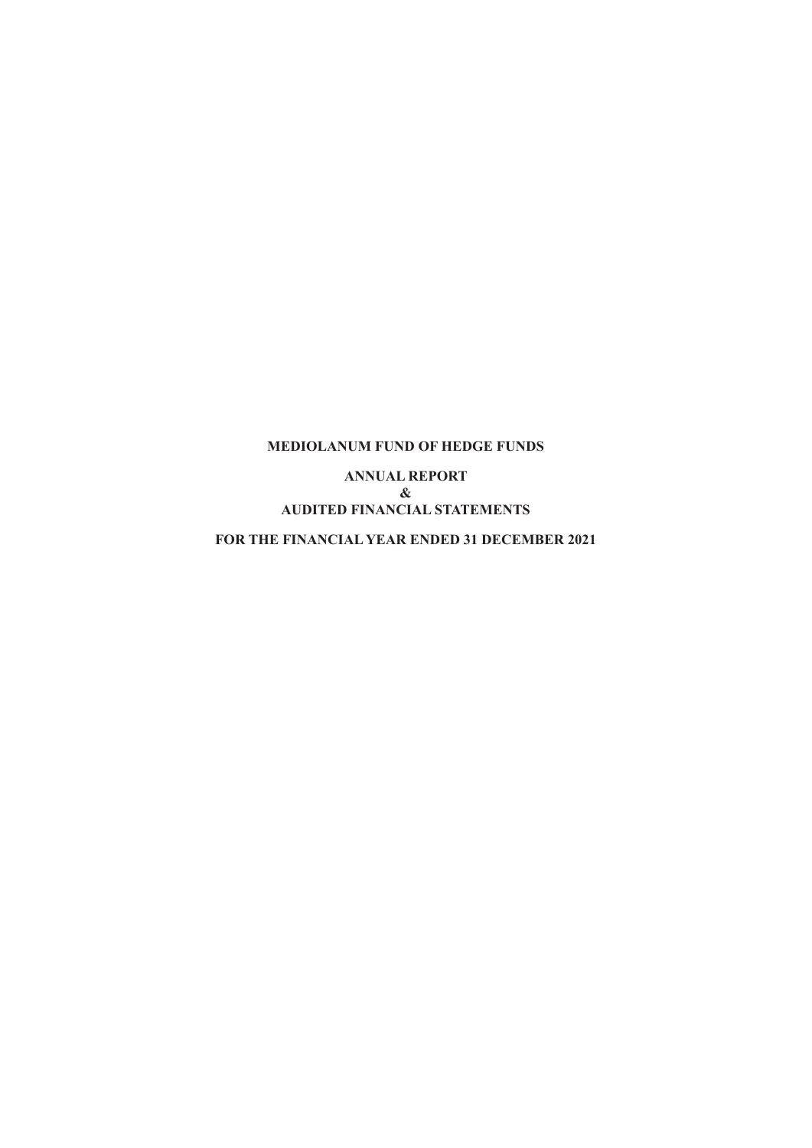**ANNUAL REPORT & AUDITED FINANCIAL STATEMENTS**

**FOR THE FINANCIAL YEAR ENDED 31 DECEMBER 2021**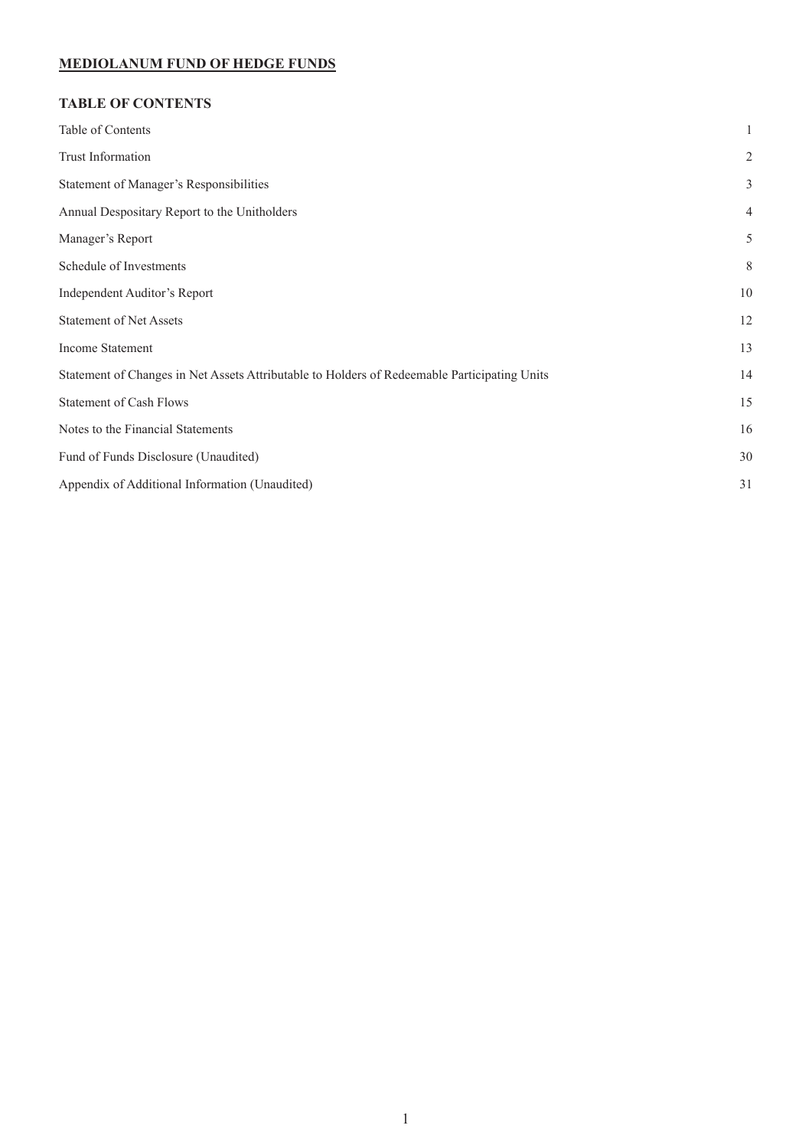# **TABLE OF CONTENTS**

| Table of Contents                                                                            | 1              |
|----------------------------------------------------------------------------------------------|----------------|
| Trust Information                                                                            | $\overline{2}$ |
| Statement of Manager's Responsibilities                                                      | 3              |
| Annual Despositary Report to the Unitholders                                                 | 4              |
| Manager's Report                                                                             | 5              |
| Schedule of Investments                                                                      | 8              |
| Independent Auditor's Report                                                                 | 10             |
| <b>Statement of Net Assets</b>                                                               | 12             |
| Income Statement                                                                             | 13             |
| Statement of Changes in Net Assets Attributable to Holders of Redeemable Participating Units | 14             |
| <b>Statement of Cash Flows</b>                                                               | 15             |
| Notes to the Financial Statements                                                            | 16             |
| Fund of Funds Disclosure (Unaudited)                                                         | 30             |
| Appendix of Additional Information (Unaudited)                                               | 31             |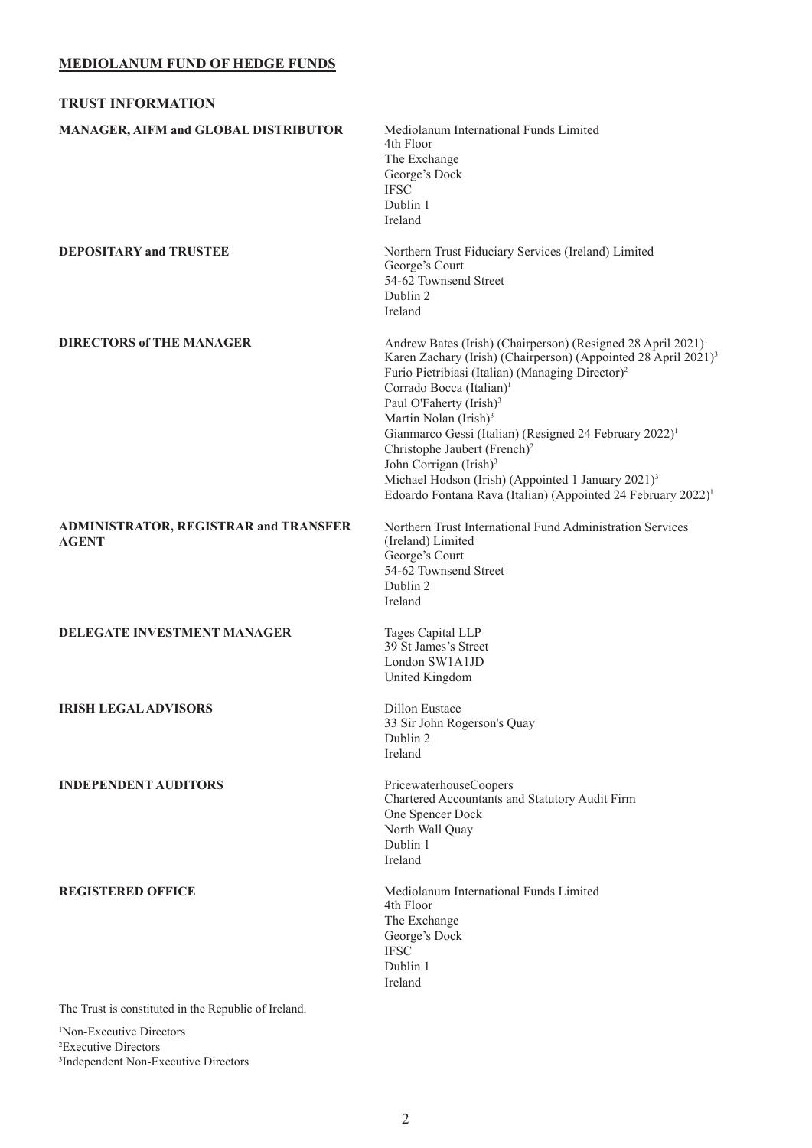<span id="page-2-0"></span>

| <b>TRUST INFORMATION</b>                                                        |                                                                                                                                                                                                                                                                                                                                                                                                                                                                                                                                                                                                                                                  |
|---------------------------------------------------------------------------------|--------------------------------------------------------------------------------------------------------------------------------------------------------------------------------------------------------------------------------------------------------------------------------------------------------------------------------------------------------------------------------------------------------------------------------------------------------------------------------------------------------------------------------------------------------------------------------------------------------------------------------------------------|
| MANAGER, AIFM and GLOBAL DISTRIBUTOR                                            | Mediolanum International Funds Limited<br>4th Floor<br>The Exchange<br>George's Dock<br><b>IFSC</b><br>Dublin 1<br>Ireland                                                                                                                                                                                                                                                                                                                                                                                                                                                                                                                       |
| <b>DEPOSITARY and TRUSTEE</b>                                                   | Northern Trust Fiduciary Services (Ireland) Limited<br>George's Court<br>54-62 Townsend Street<br>Dublin 2<br>Ireland                                                                                                                                                                                                                                                                                                                                                                                                                                                                                                                            |
| <b>DIRECTORS of THE MANAGER</b>                                                 | Andrew Bates (Irish) (Chairperson) (Resigned 28 April 2021) <sup>1</sup><br>Karen Zachary (Irish) (Chairperson) (Appointed 28 April 2021) <sup>3</sup><br>Furio Pietribiasi (Italian) (Managing Director) <sup>2</sup><br>Corrado Bocca (Italian) <sup>1</sup><br>Paul O'Faherty (Irish) <sup>3</sup><br>Martin Nolan (Irish) <sup>3</sup><br>Gianmarco Gessi (Italian) (Resigned 24 February 2022) <sup>1</sup><br>Christophe Jaubert (French) <sup>2</sup><br>John Corrigan (Irish) <sup>3</sup><br>Michael Hodson (Irish) (Appointed 1 January 2021) <sup>3</sup><br>Edoardo Fontana Rava (Italian) (Appointed 24 February 2022) <sup>1</sup> |
| <b>ADMINISTRATOR, REGISTRAR and TRANSFER</b><br><b>AGENT</b>                    | Northern Trust International Fund Administration Services<br>(Ireland) Limited<br>George's Court<br>54-62 Townsend Street<br>Dublin 2<br>Ireland                                                                                                                                                                                                                                                                                                                                                                                                                                                                                                 |
| <b>DELEGATE INVESTMENT MANAGER</b>                                              | Tages Capital LLP<br>39 St James's Street<br>London SW1A1JD<br>United Kingdom                                                                                                                                                                                                                                                                                                                                                                                                                                                                                                                                                                    |
| <b>IRISH LEGAL ADVISORS</b>                                                     | Dillon Eustace<br>33 Sir John Rogerson's Quay<br>Dublin 2<br>Ireland                                                                                                                                                                                                                                                                                                                                                                                                                                                                                                                                                                             |
| <b>INDEPENDENT AUDITORS</b>                                                     | PricewaterhouseCoopers<br>Chartered Accountants and Statutory Audit Firm<br>One Spencer Dock<br>North Wall Quay<br>Dublin 1<br>Ireland                                                                                                                                                                                                                                                                                                                                                                                                                                                                                                           |
| <b>REGISTERED OFFICE</b><br>The Trust is constituted in the Republic of Iteland | Mediolanum International Funds Limited<br>4th Floor<br>The Exchange<br>George's Dock<br><b>IFSC</b><br>Dublin 1<br>Ireland                                                                                                                                                                                                                                                                                                                                                                                                                                                                                                                       |

The Trust is constituted in the Republic of Ireland.

1 Non-Executive Directors 2 Executive Directors 3 Independent Non-Executive Directors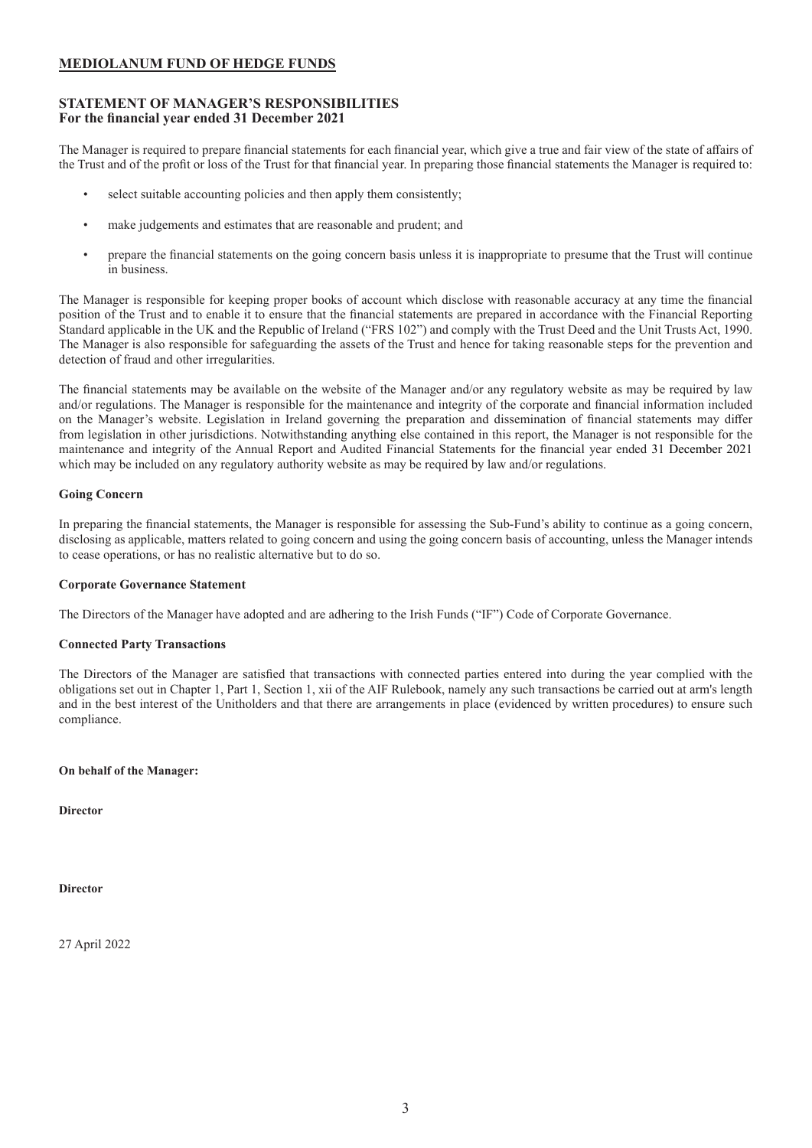### <span id="page-3-0"></span>**STATEMENT OF MANAGER'S RESPONSIBILITIES For the financial year ended 31 December 2021**

The Manager is required to prepare financial statements for each financial year, which give a true and fair view of the state of affairs of the Trust and of the profit or loss of the Trust for that financial year. In preparing those financial statements the Manager is required to:

- select suitable accounting policies and then apply them consistently;
- make judgements and estimates that are reasonable and prudent; and
- prepare the financial statements on the going concern basis unless it is inappropriate to presume that the Trust will continue in business.

The Manager is responsible for keeping proper books of account which disclose with reasonable accuracy at any time the financial position of the Trust and to enable it to ensure that the financial statements are prepared in accordance with the Financial Reporting Standard applicable in the UK and the Republic of Ireland ("FRS 102") and comply with the Trust Deed and the Unit Trusts Act, 1990. The Manager is also responsible for safeguarding the assets of the Trust and hence for taking reasonable steps for the prevention and detection of fraud and other irregularities.

The financial statements may be available on the website of the Manager and/or any regulatory website as may be required by law and/or regulations. The Manager is responsible for the maintenance and integrity of the corporate and financial information included on the Manager's website. Legislation in Ireland governing the preparation and dissemination of financial statements may differ from legislation in other jurisdictions. Notwithstanding anything else contained in this report, the Manager is not responsible for the maintenance and integrity of the Annual Report and Audited Financial Statements for the financial year ended 31 December 2021 which may be included on any regulatory authority website as may be required by law and/or regulations.

### **Going Concern**

In preparing the financial statements, the Manager is responsible for assessing the Sub-Fund's ability to continue as a going concern, disclosing as applicable, matters related to going concern and using the going concern basis of accounting, unless the Manager intends to cease operations, or has no realistic alternative but to do so.

### **Corporate Governance Statement**

The Directors of the Manager have adopted and are adhering to the Irish Funds ("IF") Code of Corporate Governance.

### **Connected Party Transactions**

The Directors of the Manager are satisfied that transactions with connected parties entered into during the year complied with the obligations set out in Chapter 1, Part 1, Section 1, xii of the AIF Rulebook, namely any such transactions be carried out at arm's length and in the best interest of the Unitholders and that there are arrangements in place (evidenced by written procedures) to ensure such compliance.

### **On behalf of the Manager:**

**Director**

**Director**

27 April 2022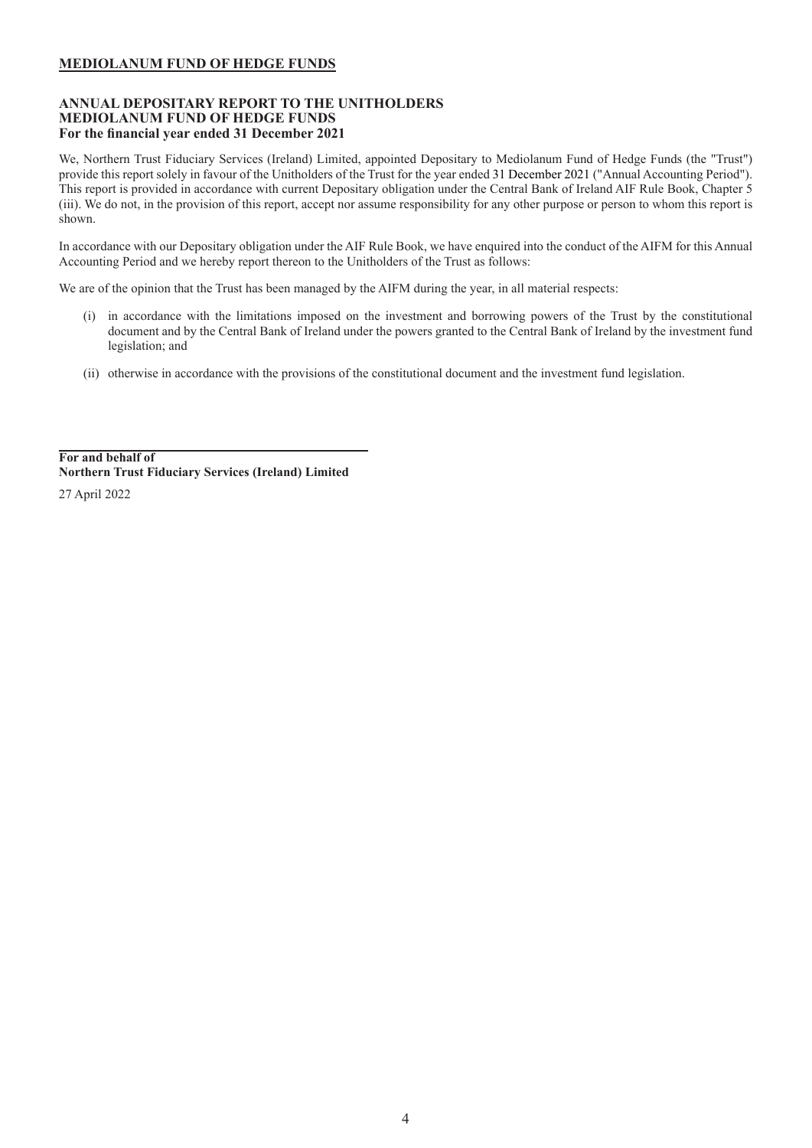### <span id="page-4-0"></span>**ANNUAL DEPOSITARY REPORT TO THE UNITHOLDERS MEDIOLANUM FUND OF HEDGE FUNDS For the financial year ended 31 December 2021**

We, Northern Trust Fiduciary Services (Ireland) Limited, appointed Depositary to Mediolanum Fund of Hedge Funds (the "Trust") provide this report solely in favour of the Unitholders of the Trust for the year ended 31 December 2021 ("Annual Accounting Period"). This report is provided in accordance with current Depositary obligation under the Central Bank of Ireland AIF Rule Book, Chapter 5 (iii). We do not, in the provision of this report, accept nor assume responsibility for any other purpose or person to whom this report is shown.

In accordance with our Depositary obligation under the AIF Rule Book, we have enquired into the conduct of the AIFM for this Annual Accounting Period and we hereby report thereon to the Unitholders of the Trust as follows:

We are of the opinion that the Trust has been managed by the AIFM during the year, in all material respects:

- (i) in accordance with the limitations imposed on the investment and borrowing powers of the Trust by the constitutional document and by the Central Bank of Ireland under the powers granted to the Central Bank of Ireland by the investment fund legislation; and
- (ii) otherwise in accordance with the provisions of the constitutional document and the investment fund legislation.

**For and behalf of Northern Trust Fiduciary Services (Ireland) Limited** 27 April 2022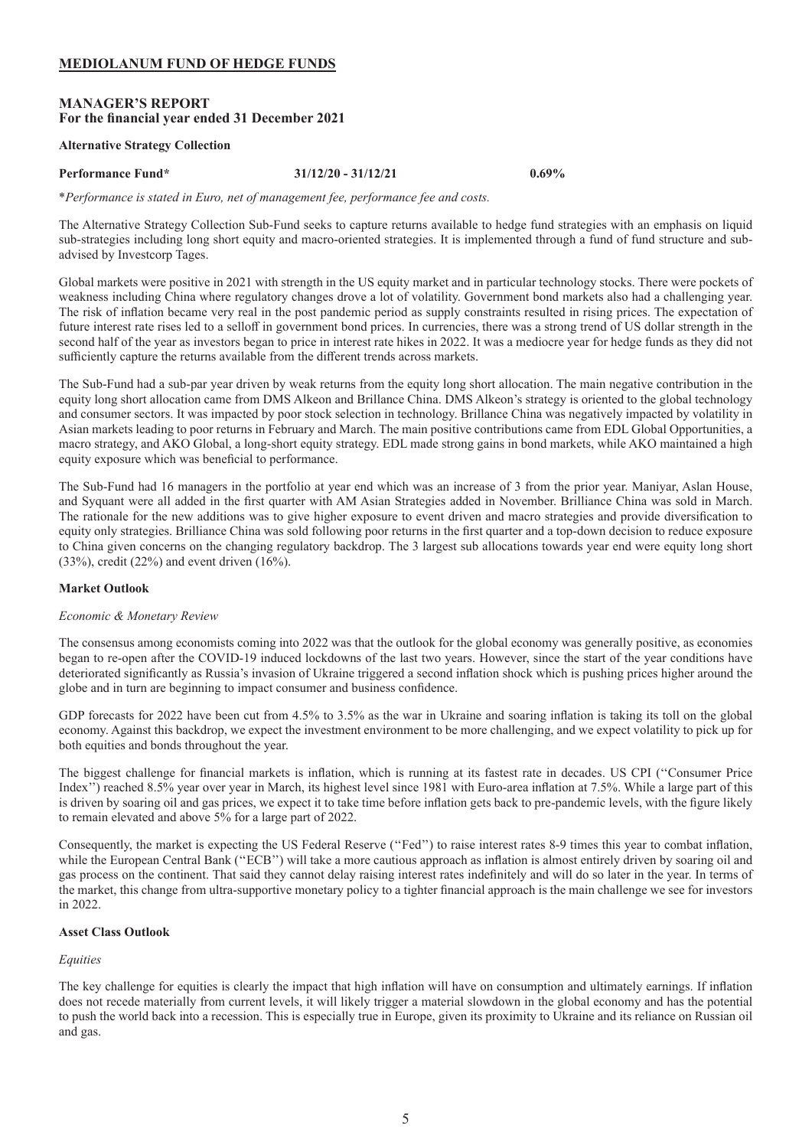### <span id="page-5-0"></span>**MANAGER'S REPORT For the financial year ended 31 December 2021**

#### **Alternative Strategy Collection**

#### **Performance Fund\* 31/12/20 - 31/12/21 0.69%**

\**Performance is stated in Euro, net of management fee, performance fee and costs.*

The Alternative Strategy Collection Sub-Fund seeks to capture returns available to hedge fund strategies with an emphasis on liquid sub-strategies including long short equity and macro-oriented strategies. It is implemented through a fund of fund structure and subadvised by Investcorp Tages.

Global markets were positive in 2021 with strength in the US equity market and in particular technology stocks. There were pockets of weakness including China where regulatory changes drove a lot of volatility. Government bond markets also had a challenging year. The risk of inflation became very real in the post pandemic period as supply constraints resulted in rising prices. The expectation of future interest rate rises led to a selloff in government bond prices. In currencies, there was a strong trend of US dollar strength in the second half of the year as investors began to price in interest rate hikes in 2022. It was a mediocre year for hedge funds as they did not sufficiently capture the returns available from the different trends across markets.

The Sub-Fund had a sub-par year driven by weak returns from the equity long short allocation. The main negative contribution in the equity long short allocation came from DMS Alkeon and Brillance China. DMS Alkeon's strategy is oriented to the global technology and consumer sectors. It was impacted by poor stock selection in technology. Brillance China was negatively impacted by volatility in Asian markets leading to poor returns in February and March. The main positive contributions came from EDL Global Opportunities, a macro strategy, and AKO Global, a long-short equity strategy. EDL made strong gains in bond markets, while AKO maintained a high equity exposure which was beneficial to performance.

The Sub-Fund had 16 managers in the portfolio at year end which was an increase of 3 from the prior year. Maniyar, Aslan House, and Syquant were all added in the first quarter with AM Asian Strategies added in November. Brilliance China was sold in March. The rationale for the new additions was to give higher exposure to event driven and macro strategies and provide diversification to equity only strategies. Brilliance China was sold following poor returns in the first quarter and a top-down decision to reduce exposure to China given concerns on the changing regulatory backdrop. The 3 largest sub allocations towards year end were equity long short (33%), credit (22%) and event driven (16%).

### **Market Outlook**

#### *Economic & Monetary Review*

The consensus among economists coming into 2022 was that the outlook for the global economy was generally positive, as economies began to re-open after the COVID-19 induced lockdowns of the last two years. However, since the start of the year conditions have deteriorated significantly as Russia's invasion of Ukraine triggered a second inflation shock which is pushing prices higher around the globe and in turn are beginning to impact consumer and business confidence.

GDP forecasts for 2022 have been cut from 4.5% to 3.5% as the war in Ukraine and soaring inflation is taking its toll on the global economy. Against this backdrop, we expect the investment environment to be more challenging, and we expect volatility to pick up for both equities and bonds throughout the year.

The biggest challenge for financial markets is inflation, which is running at its fastest rate in decades. US CPI (''Consumer Price Index'') reached 8.5% year over year in March, its highest level since 1981 with Euro-area inflation at 7.5%. While a large part of this is driven by soaring oil and gas prices, we expect it to take time before inflation gets back to pre-pandemic levels, with the figure likely to remain elevated and above 5% for a large part of 2022.

Consequently, the market is expecting the US Federal Reserve (''Fed'') to raise interest rates 8-9 times this year to combat inflation, while the European Central Bank ("ECB") will take a more cautious approach as inflation is almost entirely driven by soaring oil and gas process on the continent. That said they cannot delay raising interest rates indefinitely and will do so later in the year. In terms of the market, this change from ultra-supportive monetary policy to a tighter financial approach is the main challenge we see for investors in 2022.

### **Asset Class Outlook**

#### *Equities*

The key challenge for equities is clearly the impact that high inflation will have on consumption and ultimately earnings. If inflation does not recede materially from current levels, it will likely trigger a material slowdown in the global economy and has the potential to push the world back into a recession. This is especially true in Europe, given its proximity to Ukraine and its reliance on Russian oil and gas.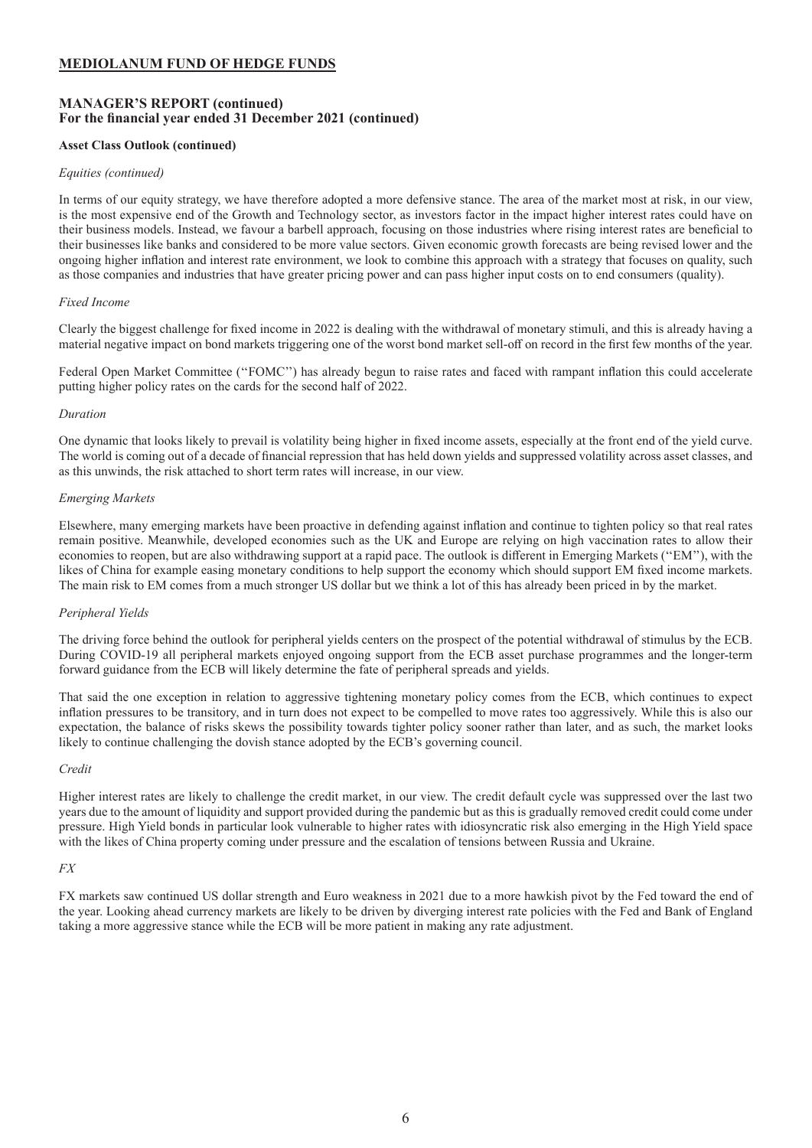### **MANAGER'S REPORT (continued) For the financial year ended 31 December 2021 (continued)**

### **Asset Class Outlook (continued)**

#### *Equities (continued)*

In terms of our equity strategy, we have therefore adopted a more defensive stance. The area of the market most at risk, in our view, is the most expensive end of the Growth and Technology sector, as investors factor in the impact higher interest rates could have on their business models. Instead, we favour a barbell approach, focusing on those industries where rising interest rates are beneficial to their businesses like banks and considered to be more value sectors. Given economic growth forecasts are being revised lower and the ongoing higher inflation and interest rate environment, we look to combine this approach with a strategy that focuses on quality, such as those companies and industries that have greater pricing power and can pass higher input costs on to end consumers (quality).

### *Fixed Income*

Clearly the biggest challenge for fixed income in 2022 is dealing with the withdrawal of monetary stimuli, and this is already having a material negative impact on bond markets triggering one of the worst bond market sell-off on record in the first few months of the year.

Federal Open Market Committee (''FOMC'') has already begun to raise rates and faced with rampant inflation this could accelerate putting higher policy rates on the cards for the second half of 2022.

### *Duration*

One dynamic that looks likely to prevail is volatility being higher in fixed income assets, especially at the front end of the yield curve. The world is coming out of a decade of financial repression that has held down yields and suppressed volatility across asset classes, and as this unwinds, the risk attached to short term rates will increase, in our view.

### *Emerging Markets*

Elsewhere, many emerging markets have been proactive in defending against inflation and continue to tighten policy so that real rates remain positive. Meanwhile, developed economies such as the UK and Europe are relying on high vaccination rates to allow their economies to reopen, but are also withdrawing support at a rapid pace. The outlook is different in Emerging Markets (''EM''), with the likes of China for example easing monetary conditions to help support the economy which should support EM fixed income markets. The main risk to EM comes from a much stronger US dollar but we think a lot of this has already been priced in by the market.

### *Peripheral Yields*

The driving force behind the outlook for peripheral yields centers on the prospect of the potential withdrawal of stimulus by the ECB. During COVID-19 all peripheral markets enjoyed ongoing support from the ECB asset purchase programmes and the longer-term forward guidance from the ECB will likely determine the fate of peripheral spreads and yields.

That said the one exception in relation to aggressive tightening monetary policy comes from the ECB, which continues to expect inflation pressures to be transitory, and in turn does not expect to be compelled to move rates too aggressively. While this is also our expectation, the balance of risks skews the possibility towards tighter policy sooner rather than later, and as such, the market looks likely to continue challenging the dovish stance adopted by the ECB's governing council.

#### *Credit*

Higher interest rates are likely to challenge the credit market, in our view. The credit default cycle was suppressed over the last two years due to the amount of liquidity and support provided during the pandemic but as this is gradually removed credit could come under pressure. High Yield bonds in particular look vulnerable to higher rates with idiosyncratic risk also emerging in the High Yield space with the likes of China property coming under pressure and the escalation of tensions between Russia and Ukraine.

### *FX*

FX markets saw continued US dollar strength and Euro weakness in 2021 due to a more hawkish pivot by the Fed toward the end of the year. Looking ahead currency markets are likely to be driven by diverging interest rate policies with the Fed and Bank of England taking a more aggressive stance while the ECB will be more patient in making any rate adjustment.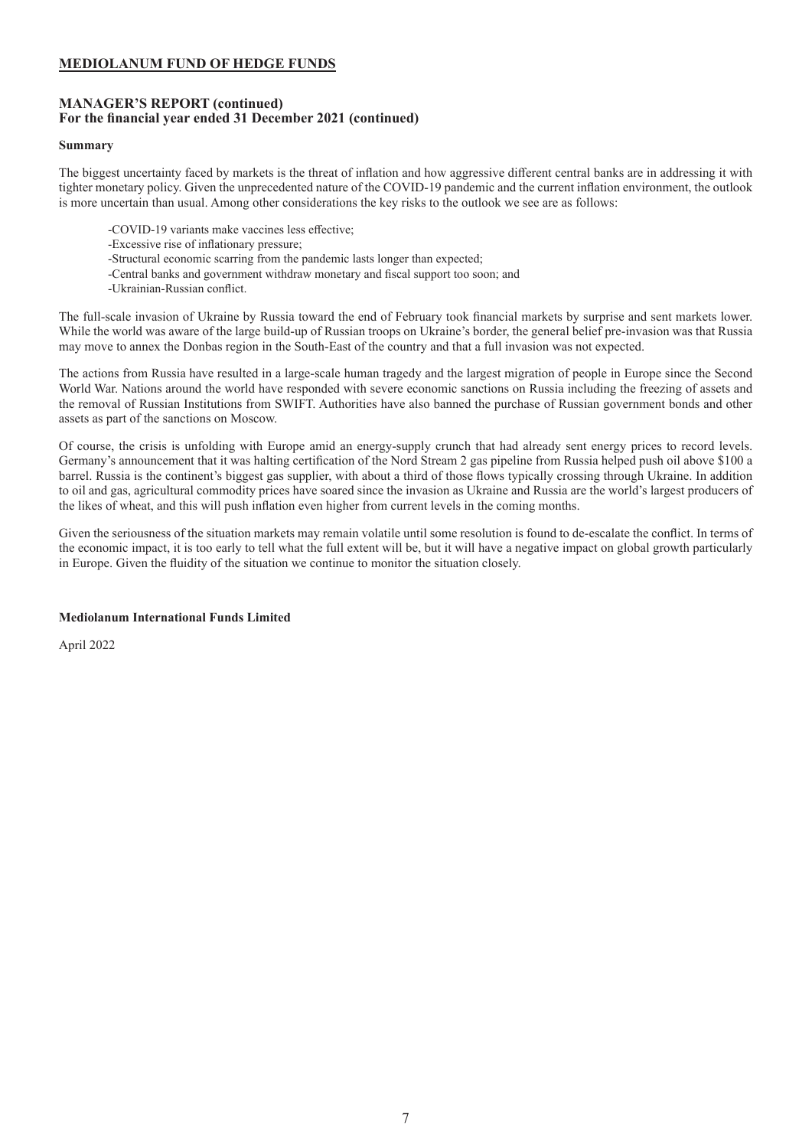### **MANAGER'S REPORT (continued) For the financial year ended 31 December 2021 (continued)**

### **Summary**

The biggest uncertainty faced by markets is the threat of inflation and how aggressive different central banks are in addressing it with tighter monetary policy. Given the unprecedented nature of the COVID-19 pandemic and the current inflation environment, the outlook is more uncertain than usual. Among other considerations the key risks to the outlook we see are as follows:

- -COVID-19 variants make vaccines less effective;
- -Excessive rise of inflationary pressure;
- -Structural economic scarring from the pandemic lasts longer than expected;
- -Central banks and government withdraw monetary and fiscal support too soon; and
- -Ukrainian-Russian conflict.

The full-scale invasion of Ukraine by Russia toward the end of February took financial markets by surprise and sent markets lower. While the world was aware of the large build-up of Russian troops on Ukraine's border, the general belief pre-invasion was that Russia may move to annex the Donbas region in the South-East of the country and that a full invasion was not expected.

The actions from Russia have resulted in a large-scale human tragedy and the largest migration of people in Europe since the Second World War. Nations around the world have responded with severe economic sanctions on Russia including the freezing of assets and the removal of Russian Institutions from SWIFT. Authorities have also banned the purchase of Russian government bonds and other assets as part of the sanctions on Moscow.

Of course, the crisis is unfolding with Europe amid an energy-supply crunch that had already sent energy prices to record levels. Germany's announcement that it was halting certification of the Nord Stream 2 gas pipeline from Russia helped push oil above \$100 a barrel. Russia is the continent's biggest gas supplier, with about a third of those flows typically crossing through Ukraine. In addition to oil and gas, agricultural commodity prices have soared since the invasion as Ukraine and Russia are the world's largest producers of the likes of wheat, and this will push inflation even higher from current levels in the coming months.

Given the seriousness of the situation markets may remain volatile until some resolution is found to de-escalate the conflict. In terms of the economic impact, it is too early to tell what the full extent will be, but it will have a negative impact on global growth particularly in Europe. Given the fluidity of the situation we continue to monitor the situation closely.

### **Mediolanum International Funds Limited**

April 2022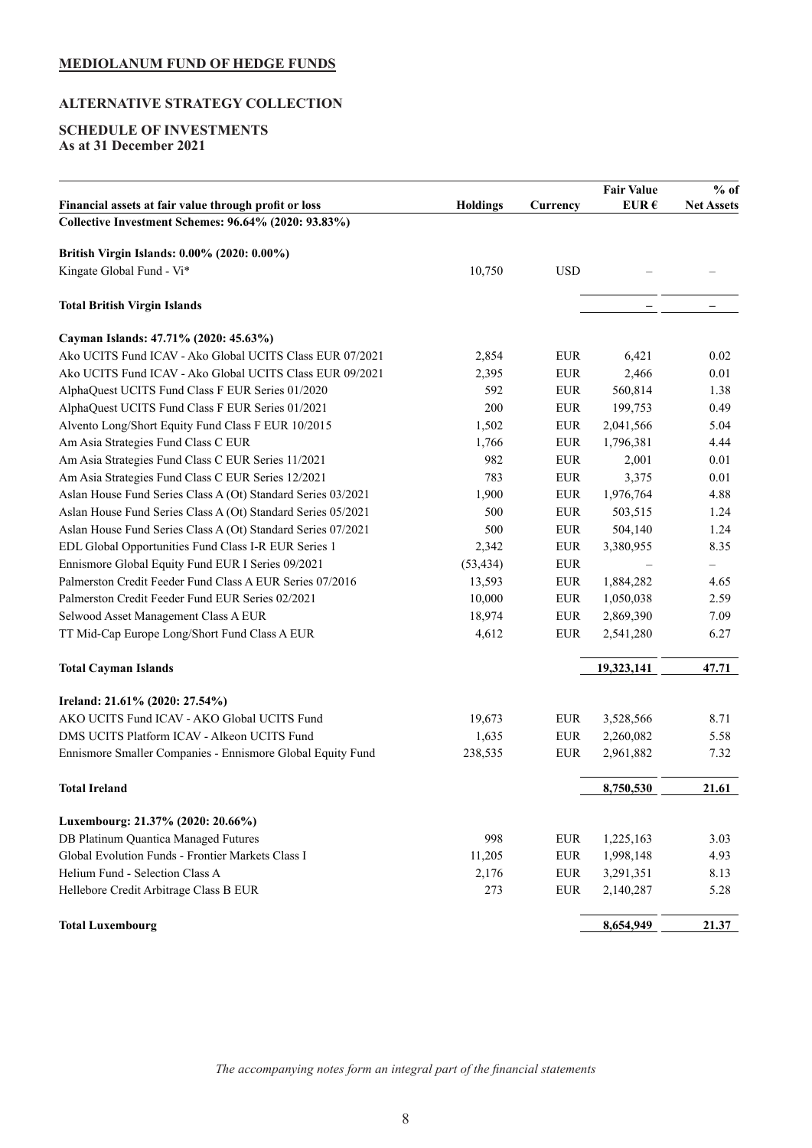# <span id="page-8-0"></span>**ALTERNATIVE STRATEGY COLLECTION**

### **SCHEDULE OF INVESTMENTS As at 31 December 2021**

|                                                              |                 |             | <b>Fair Value</b> | $%$ of            |
|--------------------------------------------------------------|-----------------|-------------|-------------------|-------------------|
| Financial assets at fair value through profit or loss        | <b>Holdings</b> | Currency    | EUR $\epsilon$    | <b>Net Assets</b> |
| Collective Investment Schemes: 96.64% (2020: 93.83%)         |                 |             |                   |                   |
| British Virgin Islands: 0.00% (2020: 0.00%)                  |                 |             |                   |                   |
| Kingate Global Fund - Vi*                                    | 10,750          | <b>USD</b>  |                   |                   |
| <b>Total British Virgin Islands</b>                          |                 |             |                   |                   |
| Cayman Islands: 47.71% (2020: 45.63%)                        |                 |             |                   |                   |
| Ako UCITS Fund ICAV - Ako Global UCITS Class EUR 07/2021     | 2,854           | <b>EUR</b>  | 6,421             | 0.02              |
| Ako UCITS Fund ICAV - Ako Global UCITS Class EUR 09/2021     | 2,395           | <b>EUR</b>  | 2,466             | 0.01              |
| AlphaQuest UCITS Fund Class F EUR Series 01/2020             | 592             | <b>EUR</b>  | 560,814           | 1.38              |
| AlphaQuest UCITS Fund Class F EUR Series 01/2021             | 200             | <b>EUR</b>  | 199,753           | 0.49              |
| Alvento Long/Short Equity Fund Class F EUR 10/2015           | 1,502           | <b>EUR</b>  | 2,041,566         | 5.04              |
| Am Asia Strategies Fund Class C EUR                          | 1,766           | <b>EUR</b>  | 1,796,381         | 4.44              |
| Am Asia Strategies Fund Class C EUR Series 11/2021           | 982             | <b>EUR</b>  | 2,001             | 0.01              |
| Am Asia Strategies Fund Class C EUR Series 12/2021           | 783             | <b>EUR</b>  | 3,375             | 0.01              |
| Aslan House Fund Series Class A (Ot) Standard Series 03/2021 | 1,900           | <b>EUR</b>  | 1,976,764         | 4.88              |
| Aslan House Fund Series Class A (Ot) Standard Series 05/2021 | 500             | <b>EUR</b>  | 503,515           | 1.24              |
| Aslan House Fund Series Class A (Ot) Standard Series 07/2021 | 500             | <b>EUR</b>  | 504,140           | 1.24              |
| EDL Global Opportunities Fund Class I-R EUR Series 1         | 2,342           | <b>EUR</b>  | 3,380,955         | 8.35              |
| Ennismore Global Equity Fund EUR I Series 09/2021            | (53, 434)       | <b>EUR</b>  |                   | $\qquad \qquad -$ |
| Palmerston Credit Feeder Fund Class A EUR Series 07/2016     | 13,593          | <b>EUR</b>  | 1,884,282         | 4.65              |
| Palmerston Credit Feeder Fund EUR Series 02/2021             | 10,000          | <b>EUR</b>  | 1,050,038         | 2.59              |
| Selwood Asset Management Class A EUR                         | 18,974          | <b>EUR</b>  | 2,869,390         | 7.09              |
| TT Mid-Cap Europe Long/Short Fund Class A EUR                | 4,612           | <b>EUR</b>  | 2,541,280         | 6.27              |
| <b>Total Cayman Islands</b>                                  |                 |             | 19,323,141        | 47.71             |
|                                                              |                 |             |                   |                   |
| Ireland: 21.61% (2020: 27.54%)                               |                 |             |                   |                   |
| AKO UCITS Fund ICAV - AKO Global UCITS Fund                  | 19,673          | <b>EUR</b>  | 3,528,566         | 8.71              |
| DMS UCITS Platform ICAV - Alkeon UCITS Fund                  | 1,635           | ${\rm EUR}$ | 2,260,082         | 5.58              |
| Ennismore Smaller Companies - Ennismore Global Equity Fund   | 238,535         | <b>EUR</b>  | 2,961,882         | 7.32              |
| <b>Total Ireland</b>                                         |                 |             | 8,750,530         | 21.61             |
| Luxembourg: 21.37% (2020: 20.66%)                            |                 |             |                   |                   |
| DB Platinum Quantica Managed Futures                         | 998             | ${\rm EUR}$ | 1,225,163         | 3.03              |
| Global Evolution Funds - Frontier Markets Class I            | 11,205          | ${\rm EUR}$ | 1,998,148         | 4.93              |
| Helium Fund - Selection Class A                              | 2,176           | ${\rm EUR}$ | 3,291,351         | 8.13              |
| Hellebore Credit Arbitrage Class B EUR                       | 273             | ${\rm EUR}$ | 2,140,287         | 5.28              |
| <b>Total Luxembourg</b>                                      |                 |             | 8,654,949         | 21.37             |

*The accompanying notes form an integral part of the financial statements*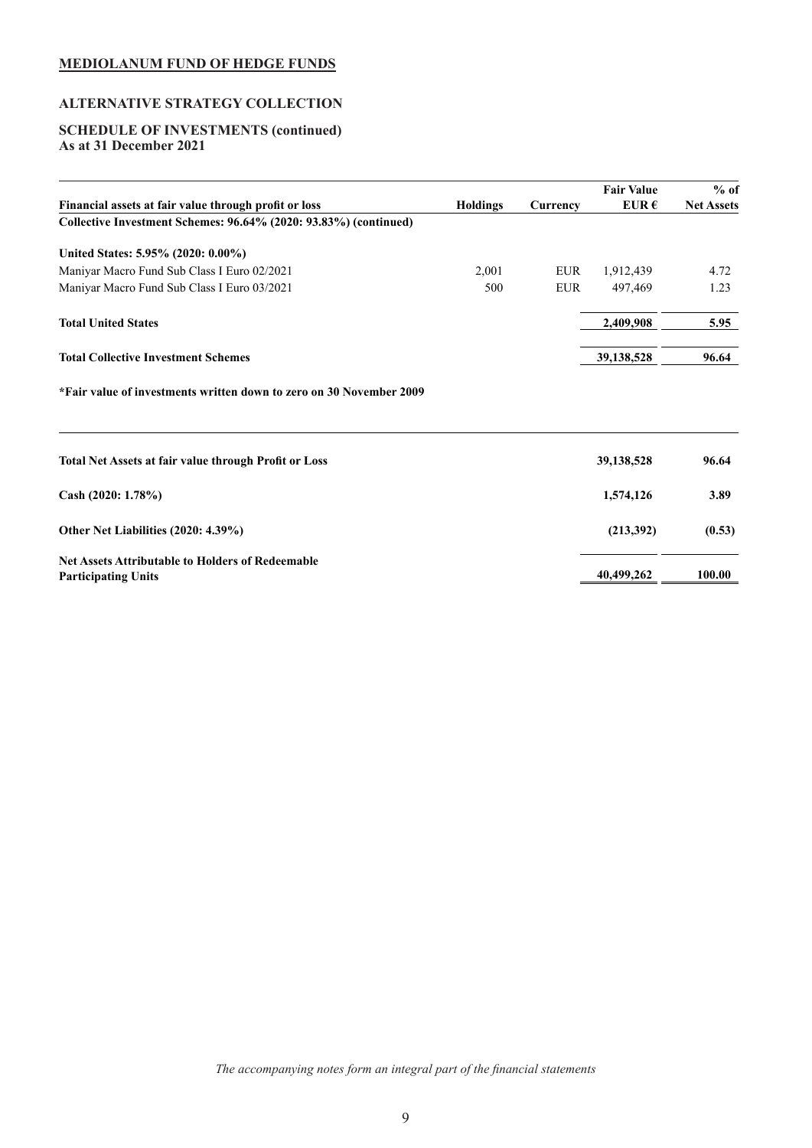# **ALTERNATIVE STRATEGY COLLECTION**

### **SCHEDULE OF INVESTMENTS (continued) As at 31 December 2021**

|                                                                                       |                 |            | <b>Fair Value</b> | $%$ of            |
|---------------------------------------------------------------------------------------|-----------------|------------|-------------------|-------------------|
| Financial assets at fair value through profit or loss                                 | <b>Holdings</b> | Currency   | EUR $\epsilon$    | <b>Net Assets</b> |
| Collective Investment Schemes: 96.64% (2020: 93.83%) (continued)                      |                 |            |                   |                   |
| United States: 5.95% (2020: 0.00%)                                                    |                 |            |                   |                   |
| Maniyar Macro Fund Sub Class I Euro 02/2021                                           | 2,001           | <b>EUR</b> | 1,912,439         | 4.72              |
| Maniyar Macro Fund Sub Class I Euro 03/2021                                           | 500             | <b>EUR</b> | 497,469           | 1.23              |
| <b>Total United States</b>                                                            |                 |            | 2,409,908         | 5.95              |
| <b>Total Collective Investment Schemes</b>                                            |                 |            | 39,138,528        | 96.64             |
| *Fair value of investments written down to zero on 30 November 2009                   |                 |            |                   |                   |
| <b>Total Net Assets at fair value through Profit or Loss</b>                          |                 |            | 39,138,528        | 96.64             |
| Cash $(2020: 1.78\%)$                                                                 |                 |            | 1,574,126         | 3.89              |
| Other Net Liabilities (2020: 4.39%)                                                   |                 |            | (213,392)         | (0.53)            |
| <b>Net Assets Attributable to Holders of Redeemable</b><br><b>Participating Units</b> |                 |            | 40,499,262        | 100.00            |

*The accompanying notes form an integral part of the financial statements*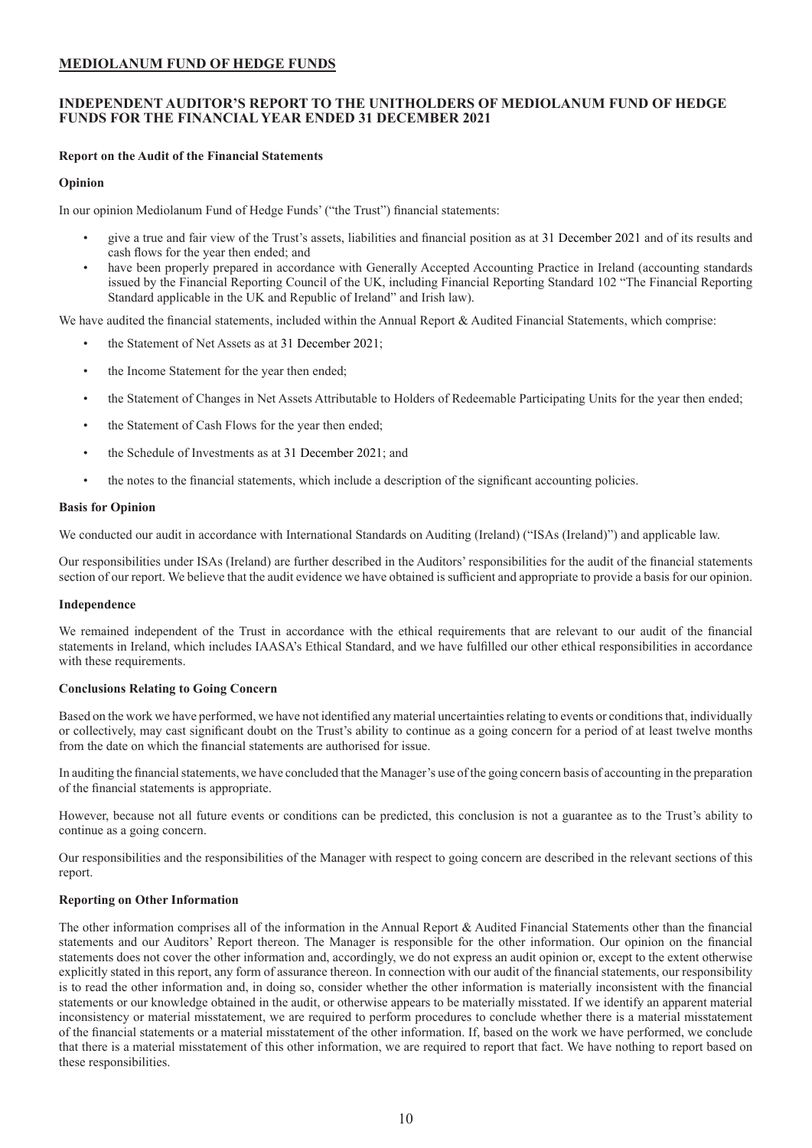### <span id="page-10-0"></span>**INDEPENDENT AUDITOR'S REPORT TO THE UNITHOLDERS OF MEDIOLANUM FUND OF HEDGE FUNDS FOR THE FINANCIAL YEAR ENDED 31 DECEMBER 2021**

### **Report on the Audit of the Financial Statements**

### **Opinion**

In our opinion Mediolanum Fund of Hedge Funds' ("the Trust") financial statements:

- give a true and fair view of the Trust's assets, liabilities and financial position as at 31 December 2021 and of its results and cash flows for the year then ended; and
- have been properly prepared in accordance with Generally Accepted Accounting Practice in Ireland (accounting standards issued by the Financial Reporting Council of the UK, including Financial Reporting Standard 102 "The Financial Reporting Standard applicable in the UK and Republic of Ireland" and Irish law).

We have audited the financial statements, included within the Annual Report & Audited Financial Statements, which comprise:

- the Statement of Net Assets as at 31 December 2021;
- the Income Statement for the year then ended;
- the Statement of Changes in Net Assets Attributable to Holders of Redeemable Participating Units for the year then ended;
- the Statement of Cash Flows for the year then ended;
- the Schedule of Investments as at 31 December 2021; and
- the notes to the financial statements, which include a description of the significant accounting policies.

#### **Basis for Opinion**

We conducted our audit in accordance with International Standards on Auditing (Ireland) ("ISAs (Ireland)") and applicable law.

Our responsibilities under ISAs (Ireland) are further described in the Auditors' responsibilities for the audit of the financial statements section of our report. We believe that the audit evidence we have obtained is sufficient and appropriate to provide a basis for our opinion.

#### **Independence**

We remained independent of the Trust in accordance with the ethical requirements that are relevant to our audit of the financial statements in Ireland, which includes IAASA's Ethical Standard, and we have fulfilled our other ethical responsibilities in accordance with these requirements.

#### **Conclusions Relating to Going Concern**

Based on the work we have performed, we have not identified any material uncertainties relating to events or conditions that, individually or collectively, may cast significant doubt on the Trust's ability to continue as a going concern for a period of at least twelve months from the date on which the financial statements are authorised for issue.

In auditing the financial statements, we have concluded that the Manager's use of the going concern basis of accounting in the preparation of the financial statements is appropriate.

However, because not all future events or conditions can be predicted, this conclusion is not a guarantee as to the Trust's ability to continue as a going concern.

Our responsibilities and the responsibilities of the Manager with respect to going concern are described in the relevant sections of this report.

### **Reporting on Other Information**

The other information comprises all of the information in the Annual Report & Audited Financial Statements other than the financial statements and our Auditors' Report thereon. The Manager is responsible for the other information. Our opinion on the financial statements does not cover the other information and, accordingly, we do not express an audit opinion or, except to the extent otherwise explicitly stated in this report, any form of assurance thereon. In connection with our audit of the financial statements, our responsibility is to read the other information and, in doing so, consider whether the other information is materially inconsistent with the financial statements or our knowledge obtained in the audit, or otherwise appears to be materially misstated. If we identify an apparent material inconsistency or material misstatement, we are required to perform procedures to conclude whether there is a material misstatement of the financial statements or a material misstatement of the other information. If, based on the work we have performed, we conclude that there is a material misstatement of this other information, we are required to report that fact. We have nothing to report based on these responsibilities.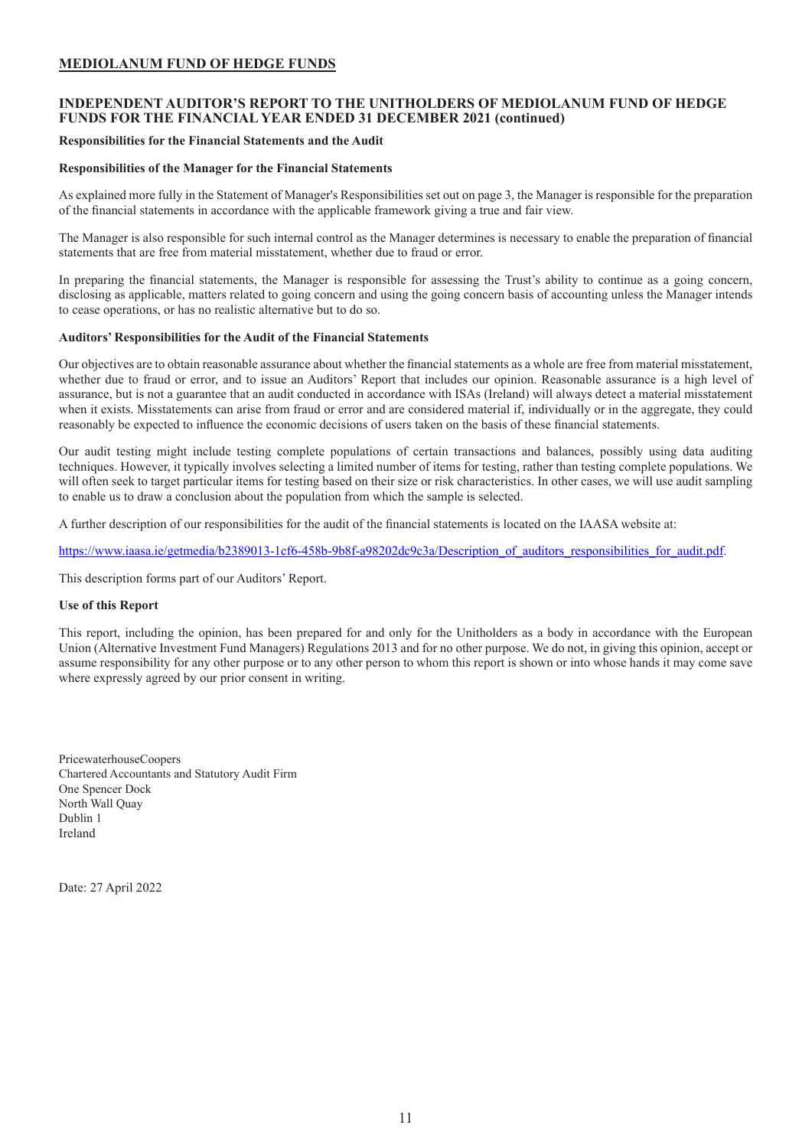### **INDEPENDENT AUDITOR'S REPORT TO THE UNITHOLDERS OF MEDIOLANUM FUND OF HEDGE FUNDS FOR THE FINANCIAL YEAR ENDED 31 DECEMBER 2021 (continued)**

#### **Responsibilities for the Financial Statements and the Audit**

### **Responsibilities of the Manager for the Financial Statements**

As explained more fully in the Statement of Manager's Responsibilities set out on page 3, the Manager is responsible for the preparation of the financial statements in accordance with the applicable framework giving a true and fair view.

The Manager is also responsible for such internal control as the Manager determines is necessary to enable the preparation of financial statements that are free from material misstatement, whether due to fraud or error.

In preparing the financial statements, the Manager is responsible for assessing the Trust's ability to continue as a going concern, disclosing as applicable, matters related to going concern and using the going concern basis of accounting unless the Manager intends to cease operations, or has no realistic alternative but to do so.

### **Auditors' Responsibilities for the Audit of the Financial Statements**

Our objectives are to obtain reasonable assurance about whether the financial statements as a whole are free from material misstatement, whether due to fraud or error, and to issue an Auditors' Report that includes our opinion. Reasonable assurance is a high level of assurance, but is not a guarantee that an audit conducted in accordance with ISAs (Ireland) will always detect a material misstatement when it exists. Misstatements can arise from fraud or error and are considered material if, individually or in the aggregate, they could reasonably be expected to influence the economic decisions of users taken on the basis of these financial statements.

Our audit testing might include testing complete populations of certain transactions and balances, possibly using data auditing techniques. However, it typically involves selecting a limited number of items for testing, rather than testing complete populations. We will often seek to target particular items for testing based on their size or risk characteristics. In other cases, we will use audit sampling to enable us to draw a conclusion about the population from which the sample is selected.

A further description of our responsibilities for the audit of the financial statements is located on the IAASA website at:

https://www.iaasa.ie/getmedia/b2389013-1cf6-458b-9b8f-a98202dc9c3a/Description\_of\_auditors\_responsibilities\_for\_audit.pdf.

This description forms part of our Auditors' Report.

### **Use of this Report**

This report, including the opinion, has been prepared for and only for the Unitholders as a body in accordance with the European Union (Alternative Investment Fund Managers) Regulations 2013 and for no other purpose. We do not, in giving this opinion, accept or assume responsibility for any other purpose or to any other person to whom this report is shown or into whose hands it may come save where expressly agreed by our prior consent in writing.

PricewaterhouseCoopers Chartered Accountants and Statutory Audit Firm One Spencer Dock North Wall Quay Dublin 1 Ireland

Date: 27 April 2022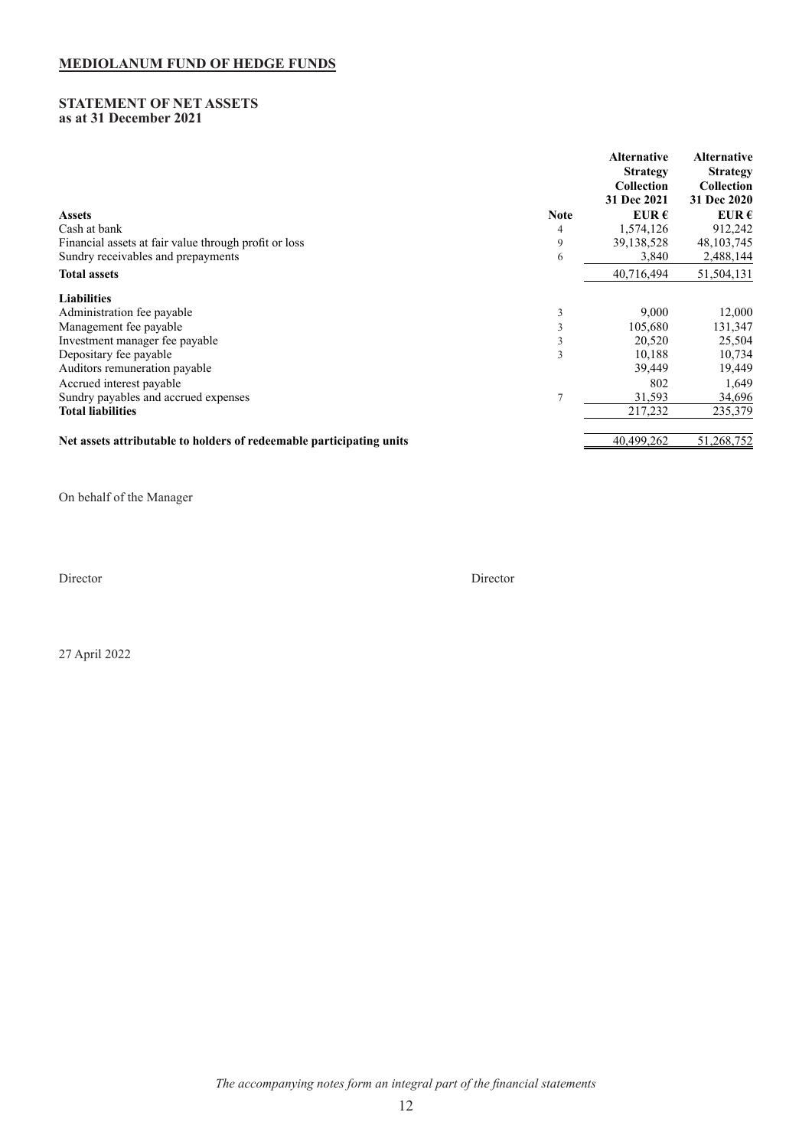### <span id="page-12-0"></span>**STATEMENT OF NET ASSETS as at 31 December 2021**

|                                                                      |             | <b>Alternative</b><br><b>Strategy</b><br><b>Collection</b><br>31 Dec 2021 | <b>Alternative</b><br><b>Strategy</b><br><b>Collection</b><br>31 Dec 2020 |
|----------------------------------------------------------------------|-------------|---------------------------------------------------------------------------|---------------------------------------------------------------------------|
| <b>Assets</b>                                                        | <b>Note</b> | EUR $\epsilon$                                                            | EUR $\epsilon$                                                            |
| Cash at bank                                                         | 4           | 1,574,126                                                                 | 912,242                                                                   |
| Financial assets at fair value through profit or loss                | 9           | 39,138,528                                                                | 48, 103, 745                                                              |
| Sundry receivables and prepayments                                   | 6           | 3,840                                                                     | 2,488,144                                                                 |
| <b>Total assets</b>                                                  |             | 40,716,494                                                                | 51,504,131                                                                |
| <b>Liabilities</b>                                                   |             |                                                                           |                                                                           |
| Administration fee payable                                           | 3           | 9,000                                                                     | 12,000                                                                    |
| Management fee payable                                               |             | 105,680                                                                   | 131,347                                                                   |
| Investment manager fee payable                                       | 3           | 20,520                                                                    | 25,504                                                                    |
| Depositary fee payable                                               | 3           | 10,188                                                                    | 10,734                                                                    |
| Auditors remuneration payable                                        |             | 39,449                                                                    | 19,449                                                                    |
| Accrued interest payable                                             |             | 802                                                                       | 1,649                                                                     |
| Sundry payables and accrued expenses                                 |             | 31,593                                                                    | 34,696                                                                    |
| <b>Total liabilities</b>                                             |             | 217,232                                                                   | 235,379                                                                   |
| Net assets attributable to holders of redeemable participating units |             | 40,499,262                                                                | 51,268,752                                                                |

On behalf of the Manager

Director Director

27 April 2022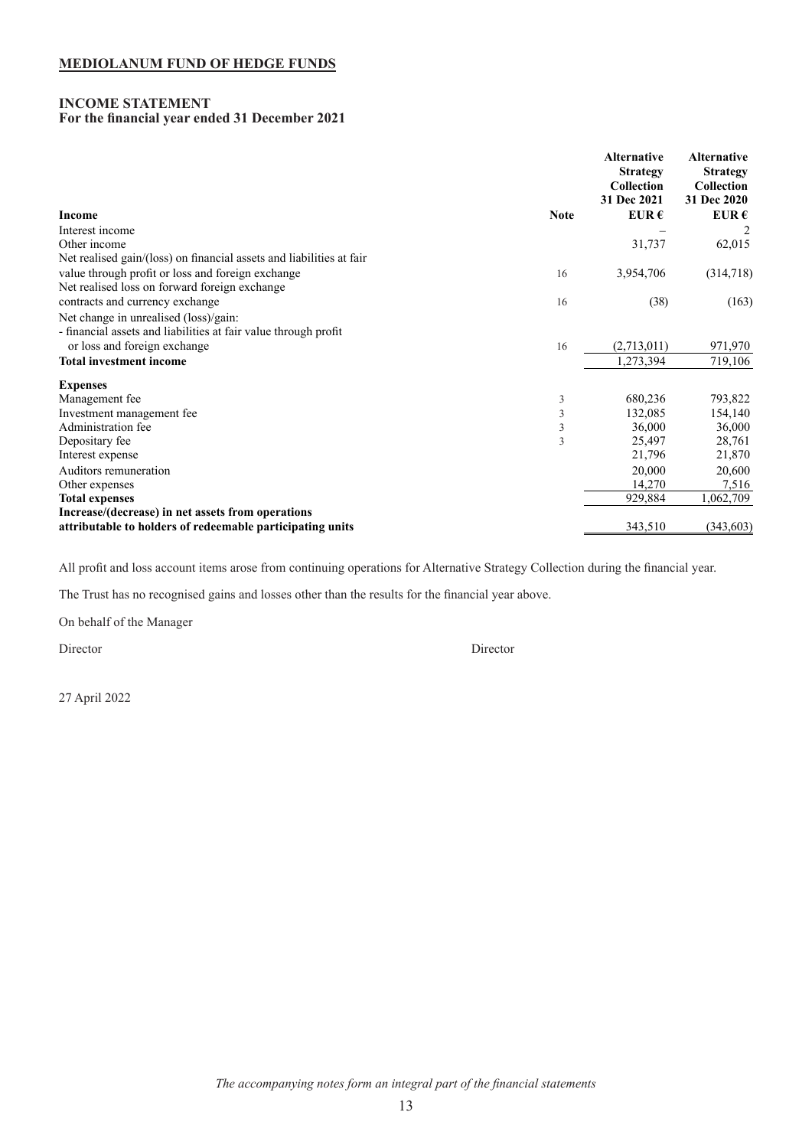### <span id="page-13-0"></span>**INCOME STATEMENT For the financial year ended 31 December 2021**

|                                                                      | <b>Alternative</b><br><b>Strategy</b><br><b>Collection</b><br>31 Dec 2021 | <b>Alternative</b><br><b>Strategy</b><br>Collection<br>31 Dec 2020 |
|----------------------------------------------------------------------|---------------------------------------------------------------------------|--------------------------------------------------------------------|
| <b>Income</b><br><b>Note</b>                                         | EUR $\epsilon$                                                            | EUR $\epsilon$                                                     |
| Interest income                                                      |                                                                           |                                                                    |
| Other income                                                         | 31,737                                                                    | 62,015                                                             |
| Net realised gain/(loss) on financial assets and liabilities at fair |                                                                           |                                                                    |
| value through profit or loss and foreign exchange<br>16              | 3,954,706                                                                 | (314,718)                                                          |
| Net realised loss on forward foreign exchange                        |                                                                           |                                                                    |
| contracts and currency exchange<br>16                                | (38)                                                                      | (163)                                                              |
| Net change in unrealised (loss)/gain:                                |                                                                           |                                                                    |
| - financial assets and liabilities at fair value through profit      |                                                                           |                                                                    |
| or loss and foreign exchange<br>16                                   | (2,713,011)                                                               | 971,970                                                            |
| <b>Total investment income</b>                                       | 1,273,394                                                                 | 719,106                                                            |
| <b>Expenses</b>                                                      |                                                                           |                                                                    |
| Management fee<br>3                                                  | 680,236                                                                   | 793,822                                                            |
| 3<br>Investment management fee                                       | 132,085                                                                   | 154,140                                                            |
| Administration fee<br>3                                              | 36,000                                                                    | 36,000                                                             |
| Depositary fee<br>3                                                  | 25,497                                                                    | 28,761                                                             |
| Interest expense                                                     | 21,796                                                                    | 21,870                                                             |
| Auditors remuneration                                                | 20,000                                                                    | 20,600                                                             |
| Other expenses                                                       | 14,270                                                                    | 7,516                                                              |
| <b>Total expenses</b>                                                | 929,884                                                                   | 1,062,709                                                          |
| Increase/(decrease) in net assets from operations                    |                                                                           |                                                                    |
| attributable to holders of redeemable participating units            | 343,510                                                                   | (343, 603)                                                         |

All profit and loss account items arose from continuing operations for Alternative Strategy Collection during the financial year.

The Trust has no recognised gains and losses other than the results for the financial year above.

On behalf of the Manager

Director Director

27 April 2022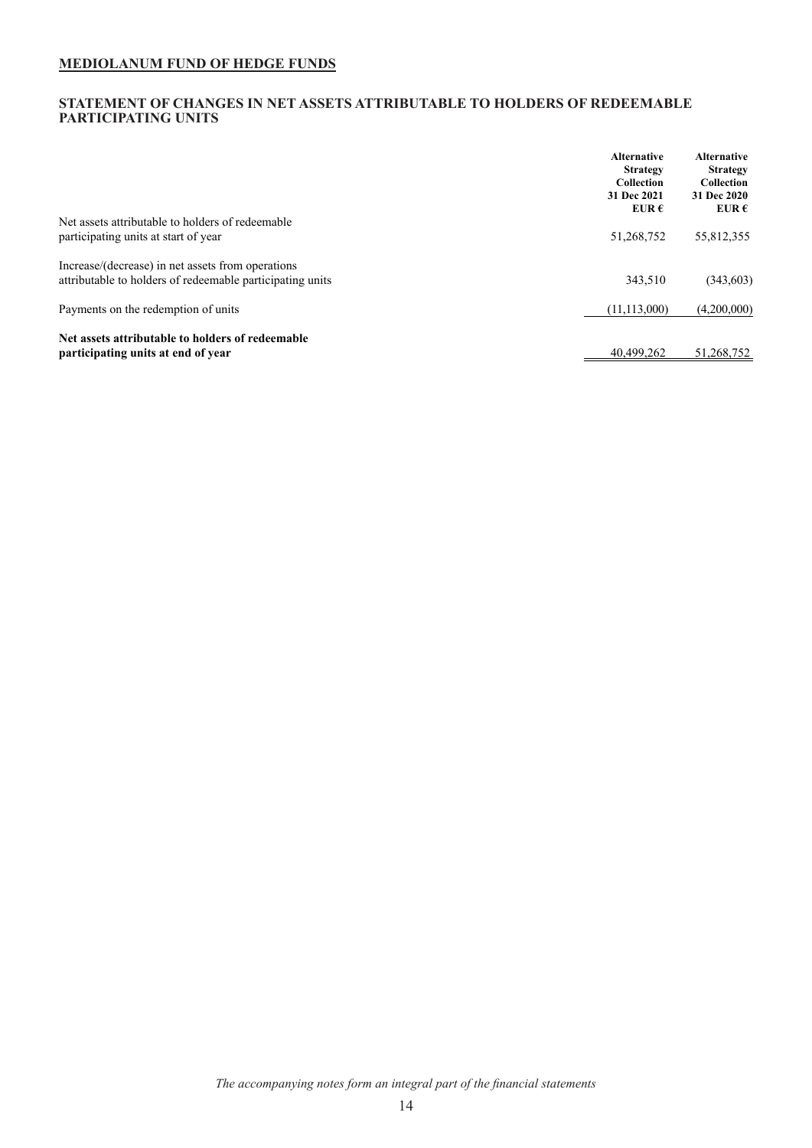### <span id="page-14-0"></span>**STATEMENT OF CHANGES IN NET ASSETS ATTRIBUTABLE TO HOLDERS OF REDEEMABLE PARTICIPATING UNITS**

|                                                           | <b>Alternative</b><br><b>Strategy</b><br><b>Collection</b><br>31 Dec 2021<br>EUR $\epsilon$ | <b>Alternative</b><br><b>Strategy</b><br><b>Collection</b><br>31 Dec 2020<br>EUR $\epsilon$ |
|-----------------------------------------------------------|---------------------------------------------------------------------------------------------|---------------------------------------------------------------------------------------------|
| Net assets attributable to holders of redeemable          |                                                                                             |                                                                                             |
| participating units at start of year                      | 51,268,752                                                                                  | 55,812,355                                                                                  |
| Increase/(decrease) in net assets from operations         |                                                                                             |                                                                                             |
| attributable to holders of redeemable participating units | 343,510                                                                                     | (343,603)                                                                                   |
| Payments on the redemption of units                       | (11, 113, 000)                                                                              | (4,200,000)                                                                                 |
| Net assets attributable to holders of redeemable          |                                                                                             |                                                                                             |
| participating units at end of year                        | 40.499.262                                                                                  | 51,268,752                                                                                  |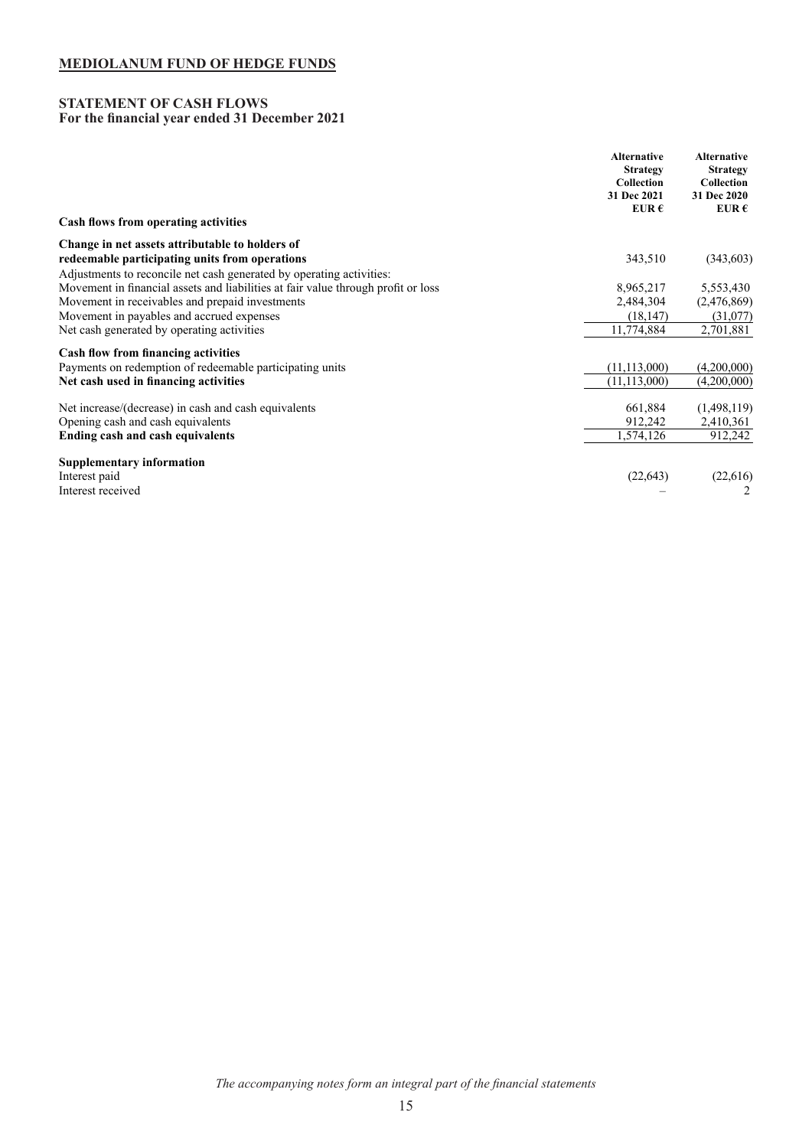### <span id="page-15-0"></span>**STATEMENT OF CASH FLOWS For the financial year ended 31 December 2021**

|                                                                                   | <b>Alternative</b><br><b>Strategy</b><br>Collection<br>31 Dec 2021<br>EUR $\epsilon$ | <b>Alternative</b><br><b>Strategy</b><br>Collection<br>31 Dec 2020<br>EUR $\epsilon$ |
|-----------------------------------------------------------------------------------|--------------------------------------------------------------------------------------|--------------------------------------------------------------------------------------|
| Cash flows from operating activities                                              |                                                                                      |                                                                                      |
| Change in net assets attributable to holders of                                   |                                                                                      |                                                                                      |
| redeemable participating units from operations                                    | 343,510                                                                              | (343,603)                                                                            |
| Adjustments to reconcile net cash generated by operating activities:              |                                                                                      |                                                                                      |
| Movement in financial assets and liabilities at fair value through profit or loss | 8,965,217                                                                            | 5,553,430                                                                            |
| Movement in receivables and prepaid investments                                   | 2,484,304                                                                            | (2,476,869)                                                                          |
| Movement in payables and accrued expenses                                         | (18, 147)                                                                            | (31,077)                                                                             |
| Net cash generated by operating activities                                        | 11,774,884                                                                           | 2,701,881                                                                            |
| Cash flow from financing activities                                               |                                                                                      |                                                                                      |
| Payments on redemption of redeemable participating units                          | (11, 113, 000)                                                                       | (4,200,000)                                                                          |
| Net cash used in financing activities                                             | (11, 113, 000)                                                                       | (4,200,000)                                                                          |
| Net increase/(decrease) in cash and cash equivalents                              | 661,884                                                                              | (1,498,119)                                                                          |
| Opening cash and cash equivalents                                                 | 912,242                                                                              | 2,410,361                                                                            |
| <b>Ending cash and cash equivalents</b>                                           | 1,574,126                                                                            | 912,242                                                                              |
| <b>Supplementary information</b>                                                  |                                                                                      |                                                                                      |
| Interest paid                                                                     | (22, 643)                                                                            | (22, 616)                                                                            |
| Interest received                                                                 |                                                                                      |                                                                                      |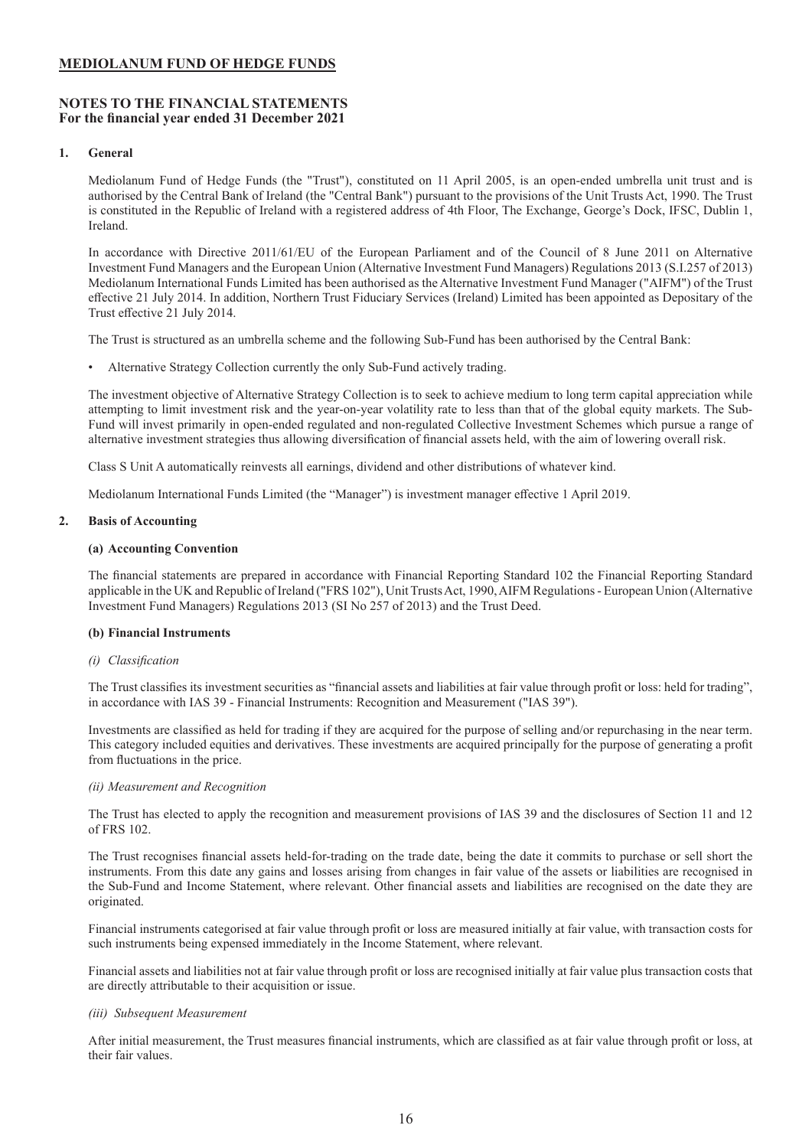### <span id="page-16-0"></span>**NOTES TO THE FINANCIAL STATEMENTS For the financial year ended 31 December 2021**

### **1. General**

Mediolanum Fund of Hedge Funds (the "Trust"), constituted on 11 April 2005, is an open-ended umbrella unit trust and is authorised by the Central Bank of Ireland (the "Central Bank") pursuant to the provisions of the Unit Trusts Act, 1990. The Trust is constituted in the Republic of Ireland with a registered address of 4th Floor, The Exchange, George's Dock, IFSC, Dublin 1, Ireland.

In accordance with Directive 2011/61/EU of the European Parliament and of the Council of 8 June 2011 on Alternative Investment Fund Managers and the European Union (Alternative Investment Fund Managers) Regulations 2013 (S.I.257 of 2013) Mediolanum International Funds Limited has been authorised as the Alternative Investment Fund Manager ("AIFM") of the Trust effective 21 July 2014. In addition, Northern Trust Fiduciary Services (Ireland) Limited has been appointed as Depositary of the Trust effective 21 July 2014.

The Trust is structured as an umbrella scheme and the following Sub-Fund has been authorised by the Central Bank:

• Alternative Strategy Collection currently the only Sub-Fund actively trading.

The investment objective of Alternative Strategy Collection is to seek to achieve medium to long term capital appreciation while attempting to limit investment risk and the year-on-year volatility rate to less than that of the global equity markets. The Sub-Fund will invest primarily in open-ended regulated and non-regulated Collective Investment Schemes which pursue a range of alternative investment strategies thus allowing diversification of financial assets held, with the aim of lowering overall risk.

Class S Unit A automatically reinvests all earnings, dividend and other distributions of whatever kind.

Mediolanum International Funds Limited (the "Manager") is investment manager effective 1 April 2019.

#### **2. Basis of Accounting**

#### **(a) Accounting Convention**

The financial statements are prepared in accordance with Financial Reporting Standard 102 the Financial Reporting Standard applicable in the UK and Republic of Ireland ("FRS 102"), Unit Trusts Act, 1990, AIFM Regulations - European Union (Alternative Investment Fund Managers) Regulations 2013 (SI No 257 of 2013) and the Trust Deed.

#### **(b) Financial Instruments**

#### *(i) Classification*

The Trust classifies its investment securities as "financial assets and liabilities at fair value through profit or loss: held for trading", in accordance with IAS 39 - Financial Instruments: Recognition and Measurement ("IAS 39").

Investments are classified as held for trading if they are acquired for the purpose of selling and/or repurchasing in the near term. This category included equities and derivatives. These investments are acquired principally for the purpose of generating a profit from fluctuations in the price.

#### *(ii) Measurement and Recognition*

The Trust has elected to apply the recognition and measurement provisions of IAS 39 and the disclosures of Section 11 and 12 of FRS 102.

The Trust recognises financial assets held-for-trading on the trade date, being the date it commits to purchase or sell short the instruments. From this date any gains and losses arising from changes in fair value of the assets or liabilities are recognised in the Sub-Fund and Income Statement, where relevant. Other financial assets and liabilities are recognised on the date they are originated.

Financial instruments categorised at fair value through profit or loss are measured initially at fair value, with transaction costs for such instruments being expensed immediately in the Income Statement, where relevant.

Financial assets and liabilities not at fair value through profit or loss are recognised initially at fair value plus transaction costs that are directly attributable to their acquisition or issue.

#### *(iii) Subsequent Measurement*

After initial measurement, the Trust measures financial instruments, which are classified as at fair value through profit or loss, at their fair values.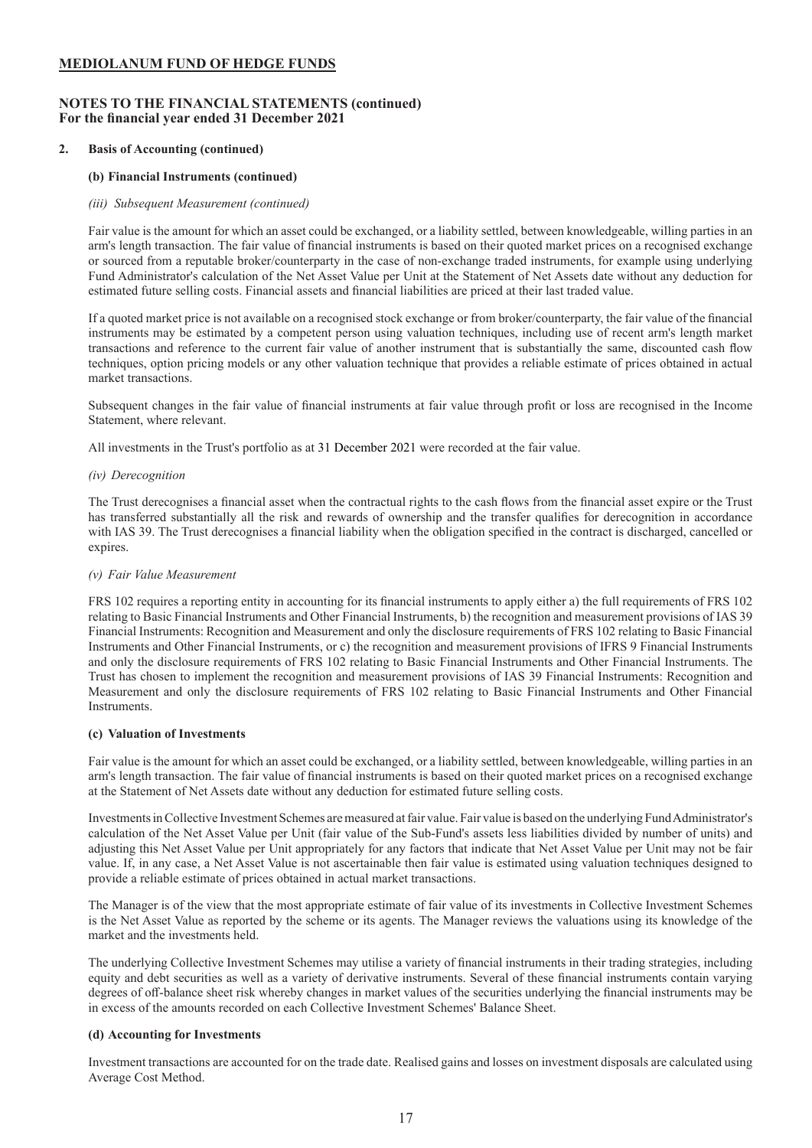### **NOTES TO THE FINANCIAL STATEMENTS (continued) For the financial year ended 31 December 2021**

### **2. Basis of Accounting (continued)**

### **(b) Financial Instruments (continued)**

### *(iii) Subsequent Measurement (continued)*

Fair value is the amount for which an asset could be exchanged, or a liability settled, between knowledgeable, willing parties in an arm's length transaction. The fair value of financial instruments is based on their quoted market prices on a recognised exchange or sourced from a reputable broker/counterparty in the case of non-exchange traded instruments, for example using underlying Fund Administrator's calculation of the Net Asset Value per Unit at the Statement of Net Assets date without any deduction for estimated future selling costs. Financial assets and financial liabilities are priced at their last traded value.

If a quoted market price is not available on a recognised stock exchange or from broker/counterparty, the fair value of the financial instruments may be estimated by a competent person using valuation techniques, including use of recent arm's length market transactions and reference to the current fair value of another instrument that is substantially the same, discounted cash flow techniques, option pricing models or any other valuation technique that provides a reliable estimate of prices obtained in actual market transactions.

Subsequent changes in the fair value of financial instruments at fair value through profit or loss are recognised in the Income Statement, where relevant.

All investments in the Trust's portfolio as at 31 December 2021 were recorded at the fair value.

### *(iv) Derecognition*

The Trust derecognises a financial asset when the contractual rights to the cash flows from the financial asset expire or the Trust has transferred substantially all the risk and rewards of ownership and the transfer qualifies for derecognition in accordance with IAS 39. The Trust derecognises a financial liability when the obligation specified in the contract is discharged, cancelled or expires.

#### *(v) Fair Value Measurement*

FRS 102 requires a reporting entity in accounting for its financial instruments to apply either a) the full requirements of FRS 102 relating to Basic Financial Instruments and Other Financial Instruments, b) the recognition and measurement provisions of IAS 39 Financial Instruments: Recognition and Measurement and only the disclosure requirements of FRS 102 relating to Basic Financial Instruments and Other Financial Instruments, or c) the recognition and measurement provisions of IFRS 9 Financial Instruments and only the disclosure requirements of FRS 102 relating to Basic Financial Instruments and Other Financial Instruments. The Trust has chosen to implement the recognition and measurement provisions of IAS 39 Financial Instruments: Recognition and Measurement and only the disclosure requirements of FRS 102 relating to Basic Financial Instruments and Other Financial Instruments.

#### **(c) Valuation of Investments**

Fair value is the amount for which an asset could be exchanged, or a liability settled, between knowledgeable, willing parties in an arm's length transaction. The fair value of financial instruments is based on their quoted market prices on a recognised exchange at the Statement of Net Assets date without any deduction for estimated future selling costs.

Investments in Collective Investment Schemes are measured at fair value. Fair value is based on the underlying Fund Administrator's calculation of the Net Asset Value per Unit (fair value of the Sub-Fund's assets less liabilities divided by number of units) and adjusting this Net Asset Value per Unit appropriately for any factors that indicate that Net Asset Value per Unit may not be fair value. If, in any case, a Net Asset Value is not ascertainable then fair value is estimated using valuation techniques designed to provide a reliable estimate of prices obtained in actual market transactions.

The Manager is of the view that the most appropriate estimate of fair value of its investments in Collective Investment Schemes is the Net Asset Value as reported by the scheme or its agents. The Manager reviews the valuations using its knowledge of the market and the investments held.

The underlying Collective Investment Schemes may utilise a variety of financial instruments in their trading strategies, including equity and debt securities as well as a variety of derivative instruments. Several of these financial instruments contain varying degrees of off-balance sheet risk whereby changes in market values of the securities underlying the financial instruments may be in excess of the amounts recorded on each Collective Investment Schemes' Balance Sheet.

### **(d) Accounting for Investments**

Investment transactions are accounted for on the trade date. Realised gains and losses on investment disposals are calculated using Average Cost Method.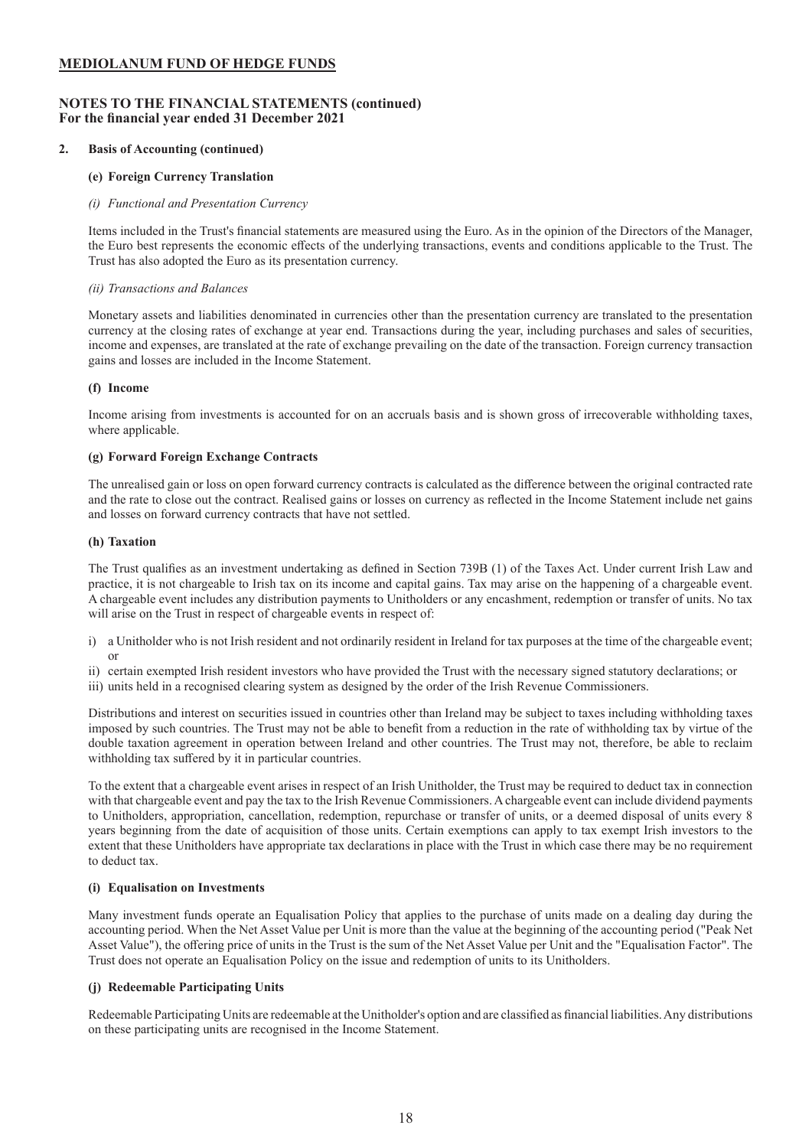### **NOTES TO THE FINANCIAL STATEMENTS (continued) For the financial year ended 31 December 2021**

### **2. Basis of Accounting (continued)**

### **(e) Foreign Currency Translation**

### *(i) Functional and Presentation Currency*

Items included in the Trust's financial statements are measured using the Euro. As in the opinion of the Directors of the Manager, the Euro best represents the economic effects of the underlying transactions, events and conditions applicable to the Trust. The Trust has also adopted the Euro as its presentation currency.

### *(ii) Transactions and Balances*

Monetary assets and liabilities denominated in currencies other than the presentation currency are translated to the presentation currency at the closing rates of exchange at year end. Transactions during the year, including purchases and sales of securities, income and expenses, are translated at the rate of exchange prevailing on the date of the transaction. Foreign currency transaction gains and losses are included in the Income Statement.

### **(f) Income**

Income arising from investments is accounted for on an accruals basis and is shown gross of irrecoverable withholding taxes, where applicable.

### **(g) Forward Foreign Exchange Contracts**

The unrealised gain or loss on open forward currency contracts is calculated as the difference between the original contracted rate and the rate to close out the contract. Realised gains or losses on currency as reflected in the Income Statement include net gains and losses on forward currency contracts that have not settled.

### **(h) Taxation**

The Trust qualifies as an investment undertaking as defined in Section 739B (1) of the Taxes Act. Under current Irish Law and practice, it is not chargeable to Irish tax on its income and capital gains. Tax may arise on the happening of a chargeable event. A chargeable event includes any distribution payments to Unitholders or any encashment, redemption or transfer of units. No tax will arise on the Trust in respect of chargeable events in respect of:

- i) a Unitholder who is not Irish resident and not ordinarily resident in Ireland for tax purposes at the time of the chargeable event; or
- ii) certain exempted Irish resident investors who have provided the Trust with the necessary signed statutory declarations; or
- iii) units held in a recognised clearing system as designed by the order of the Irish Revenue Commissioners.

Distributions and interest on securities issued in countries other than Ireland may be subject to taxes including withholding taxes imposed by such countries. The Trust may not be able to benefit from a reduction in the rate of withholding tax by virtue of the double taxation agreement in operation between Ireland and other countries. The Trust may not, therefore, be able to reclaim withholding tax suffered by it in particular countries.

To the extent that a chargeable event arises in respect of an Irish Unitholder, the Trust may be required to deduct tax in connection with that chargeable event and pay the tax to the Irish Revenue Commissioners. A chargeable event can include dividend payments to Unitholders, appropriation, cancellation, redemption, repurchase or transfer of units, or a deemed disposal of units every 8 years beginning from the date of acquisition of those units. Certain exemptions can apply to tax exempt Irish investors to the extent that these Unitholders have appropriate tax declarations in place with the Trust in which case there may be no requirement to deduct tax.

### **(i) Equalisation on Investments**

Many investment funds operate an Equalisation Policy that applies to the purchase of units made on a dealing day during the accounting period. When the Net Asset Value per Unit is more than the value at the beginning of the accounting period ("Peak Net Asset Value"), the offering price of units in the Trust is the sum of the Net Asset Value per Unit and the "Equalisation Factor". The Trust does not operate an Equalisation Policy on the issue and redemption of units to its Unitholders.

### **(j) Redeemable Participating Units**

Redeemable Participating Units are redeemable at the Unitholder's option and are classified as financial liabilities. Any distributions on these participating units are recognised in the Income Statement.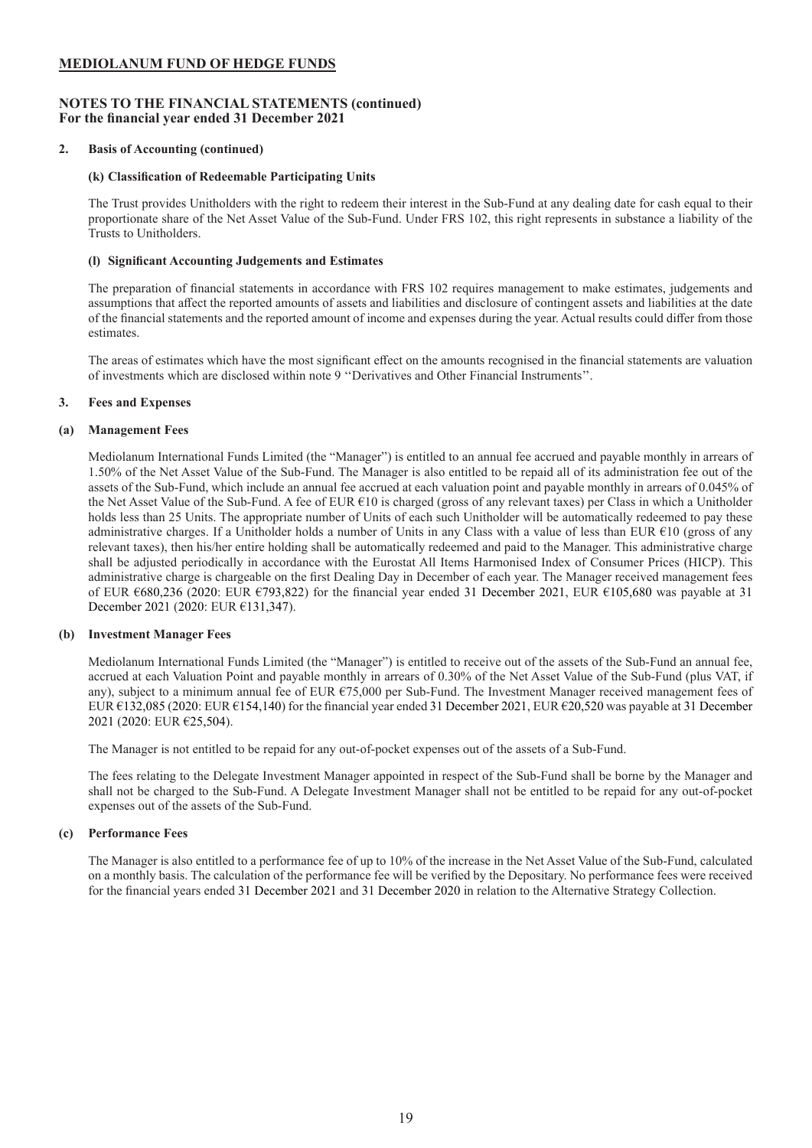### **NOTES TO THE FINANCIAL STATEMENTS (continued) For the financial year ended 31 December 2021**

### **2. Basis of Accounting (continued)**

### **(k) Classification of Redeemable Participating Units**

The Trust provides Unitholders with the right to redeem their interest in the Sub-Fund at any dealing date for cash equal to their proportionate share of the Net Asset Value of the Sub-Fund. Under FRS 102, this right represents in substance a liability of the Trusts to Unitholders.

### **(l) Significant Accounting Judgements and Estimates**

The preparation of financial statements in accordance with FRS 102 requires management to make estimates, judgements and assumptions that affect the reported amounts of assets and liabilities and disclosure of contingent assets and liabilities at the date of the financial statements and the reported amount of income and expenses during the year. Actual results could differ from those estimates.

The areas of estimates which have the most significant effect on the amounts recognised in the financial statements are valuation of investments which are disclosed within note 9 ''Derivatives and Other Financial Instruments''.

### **3. Fees and Expenses**

### **(a) Management Fees**

Mediolanum International Funds Limited (the "Manager") is entitled to an annual fee accrued and payable monthly in arrears of 1.50% of the Net Asset Value of the Sub-Fund. The Manager is also entitled to be repaid all of its administration fee out of the assets of the Sub-Fund, which include an annual fee accrued at each valuation point and payable monthly in arrears of 0.045% of the Net Asset Value of the Sub-Fund. A fee of EUR €10 is charged (gross of any relevant taxes) per Class in which a Unitholder holds less than 25 Units. The appropriate number of Units of each such Unitholder will be automatically redeemed to pay these administrative charges. If a Unitholder holds a number of Units in any Class with a value of less than EUR  $E10$  (gross of any relevant taxes), then his/her entire holding shall be automatically redeemed and paid to the Manager. This administrative charge shall be adjusted periodically in accordance with the Eurostat All Items Harmonised Index of Consumer Prices (HICP). This administrative charge is chargeable on the first Dealing Day in December of each year. The Manager received management fees of EUR €680,236 (2020: EUR €793,822) for the financial year ended 31 December 2021, EUR €105,680 was payable at 31 December 2021 (2020: EUR €131,347).

### **(b) Investment Manager Fees**

Mediolanum International Funds Limited (the "Manager") is entitled to receive out of the assets of the Sub-Fund an annual fee, accrued at each Valuation Point and payable monthly in arrears of 0.30% of the Net Asset Value of the Sub-Fund (plus VAT, if any), subject to a minimum annual fee of EUR  $\epsilon$ 75,000 per Sub-Fund. The Investment Manager received management fees of EUR €132,085 (2020: EUR €154,140) for the financial year ended 31 December 2021, EUR €20,520 was payable at 31 December 2021 (2020: EUR €25,504).

The Manager is not entitled to be repaid for any out-of-pocket expenses out of the assets of a Sub-Fund.

The fees relating to the Delegate Investment Manager appointed in respect of the Sub-Fund shall be borne by the Manager and shall not be charged to the Sub-Fund. A Delegate Investment Manager shall not be entitled to be repaid for any out-of-pocket expenses out of the assets of the Sub-Fund.

### **(c) Performance Fees**

The Manager is also entitled to a performance fee of up to 10% of the increase in the Net Asset Value of the Sub-Fund, calculated on a monthly basis. The calculation of the performance fee will be verified by the Depositary. No performance fees were received for the financial years ended 31 December 2021 and 31 December 2020 in relation to the Alternative Strategy Collection.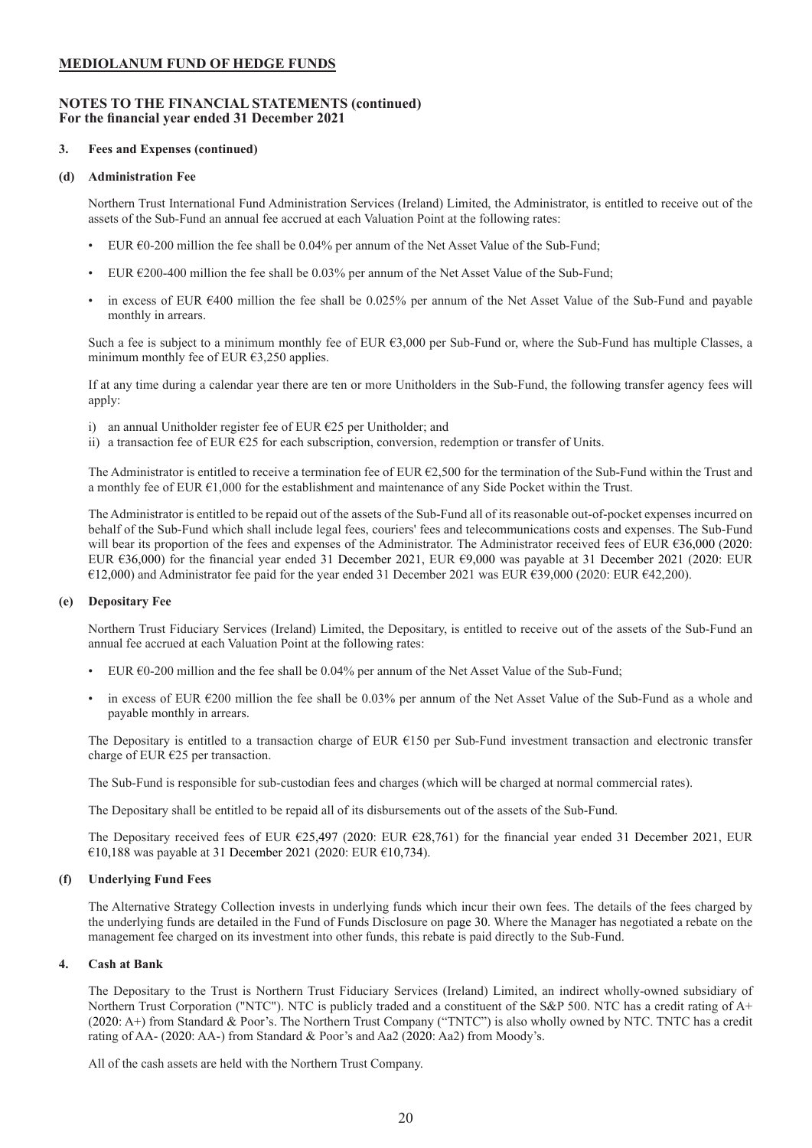### **NOTES TO THE FINANCIAL STATEMENTS (continued) For the financial year ended 31 December 2021**

### **3. Fees and Expenses (continued)**

### **(d) Administration Fee**

Northern Trust International Fund Administration Services (Ireland) Limited, the Administrator, is entitled to receive out of the assets of the Sub-Fund an annual fee accrued at each Valuation Point at the following rates:

- EUR  $60-200$  million the fee shall be 0.04% per annum of the Net Asset Value of the Sub-Fund;
- EUR  $\epsilon$ 200-400 million the fee shall be 0.03% per annum of the Net Asset Value of the Sub-Fund;
- $\bullet$  in excess of EUR  $\epsilon$ 400 million the fee shall be 0.025% per annum of the Net Asset Value of the Sub-Fund and payable monthly in arrears.

Such a fee is subject to a minimum monthly fee of EUR  $63,000$  per Sub-Fund or, where the Sub-Fund has multiple Classes, a minimum monthly fee of EUR  $63.250$  applies.

If at any time during a calendar year there are ten or more Unitholders in the Sub-Fund, the following transfer agency fees will apply:

- i) an annual Unitholder register fee of EUR  $E25$  per Unitholder; and
- ii) a transaction fee of EUR €25 for each subscription, conversion, redemption or transfer of Units.

The Administrator is entitled to receive a termination fee of EUR  $\epsilon$ 2,500 for the termination of the Sub-Fund within the Trust and a monthly fee of EUR  $\epsilon$ 1,000 for the establishment and maintenance of any Side Pocket within the Trust.

The Administrator is entitled to be repaid out of the assets of the Sub-Fund all of its reasonable out-of-pocket expenses incurred on behalf of the Sub-Fund which shall include legal fees, couriers' fees and telecommunications costs and expenses. The Sub-Fund will bear its proportion of the fees and expenses of the Administrator. The Administrator received fees of EUR €36,000 (2020: EUR €36,000) for the financial year ended 31 December 2021, EUR €9,000 was payable at 31 December 2021 (2020: EUR €12,000) and Administrator fee paid for the year ended 31 December 2021 was EUR €39,000 (2020: EUR €42,200).

### **(e) Depositary Fee**

Northern Trust Fiduciary Services (Ireland) Limited, the Depositary, is entitled to receive out of the assets of the Sub-Fund an annual fee accrued at each Valuation Point at the following rates:

- EUR  $\epsilon$ 0-200 million and the fee shall be 0.04% per annum of the Net Asset Value of the Sub-Fund;
- in excess of EUR  $\epsilon$ 200 million the fee shall be 0.03% per annum of the Net Asset Value of the Sub-Fund as a whole and payable monthly in arrears.

The Depositary is entitled to a transaction charge of EUR €150 per Sub-Fund investment transaction and electronic transfer charge of EUR €25 per transaction.

The Sub-Fund is responsible for sub-custodian fees and charges (which will be charged at normal commercial rates).

The Depositary shall be entitled to be repaid all of its disbursements out of the assets of the Sub-Fund.

The Depositary received fees of EUR €25,497 (2020: EUR €28,761) for the financial year ended 31 December 2021, EUR €10,188 was payable at 31 December 2021 (2020: EUR €10,734).

### **(f) Underlying Fund Fees**

The Alternative Strategy Collection invests in underlying funds which incur their own fees. The details of the fees charged by the underlying funds are detailed in the Fund of Funds Disclosure on page 30. Where the Manager has negotiated a rebate on the management fee charged on its investment into other funds, this rebate is paid directly to the Sub-Fund.

### **4. Cash at Bank**

The Depositary to the Trust is Northern Trust Fiduciary Services (Ireland) Limited, an indirect wholly-owned subsidiary of Northern Trust Corporation ("NTC"). NTC is publicly traded and a constituent of the S&P 500. NTC has a credit rating of A+ (2020: A+) from Standard & Poor's. The Northern Trust Company ("TNTC") is also wholly owned by NTC. TNTC has a credit rating of AA- (2020: AA-) from Standard & Poor's and Aa2 (2020: Aa2) from Moody's.

All of the cash assets are held with the Northern Trust Company.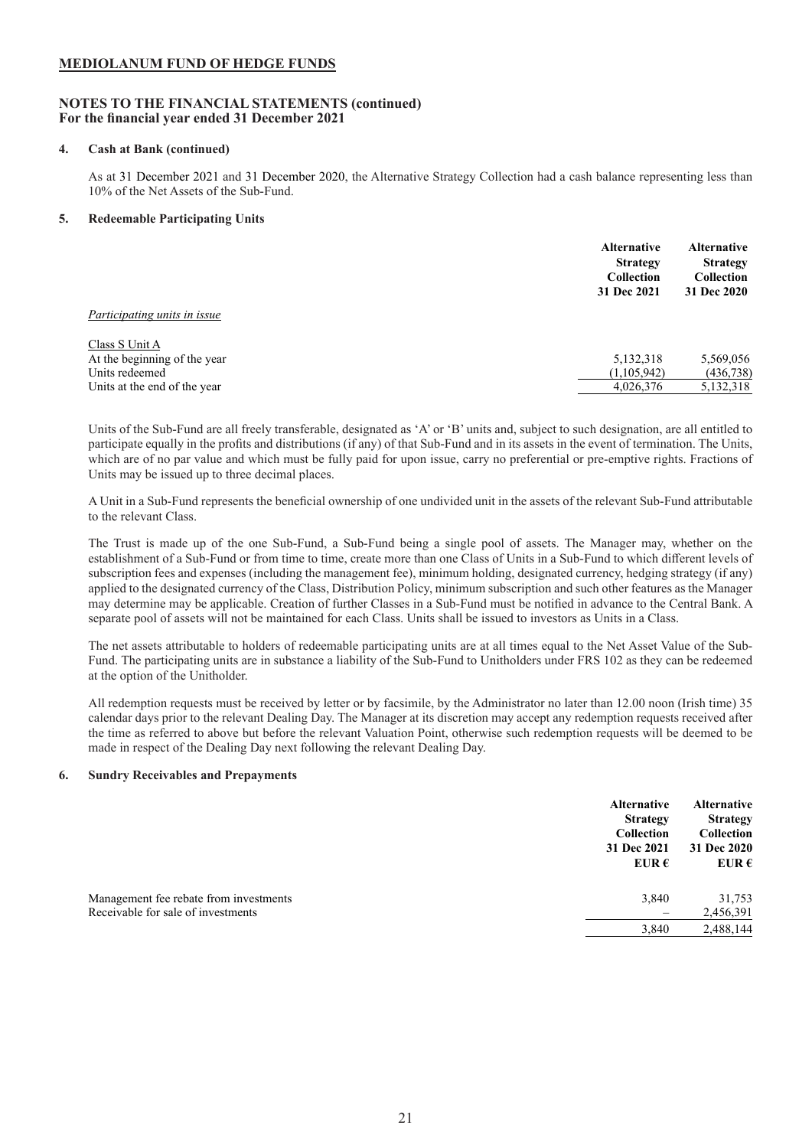### **NOTES TO THE FINANCIAL STATEMENTS (continued) For the financial year ended 31 December 2021**

### **4. Cash at Bank (continued)**

As at 31 December 2021 and 31 December 2020, the Alternative Strategy Collection had a cash balance representing less than 10% of the Net Assets of the Sub-Fund.

### **5. Redeemable Participating Units**

|                              | <b>Alternative</b><br><b>Strategy</b><br><b>Collection</b><br>31 Dec 2021 | <b>Alternative</b><br><b>Strategy</b><br><b>Collection</b><br>31 Dec 2020 |
|------------------------------|---------------------------------------------------------------------------|---------------------------------------------------------------------------|
| Participating units in issue |                                                                           |                                                                           |
| Class S Unit A               |                                                                           |                                                                           |
| At the beginning of the year | 5,132,318                                                                 | 5,569,056                                                                 |
| Units redeemed               | (1,105,942)                                                               | (436, 738)                                                                |
| Units at the end of the year | 4,026,376                                                                 | 5,132,318                                                                 |

Units of the Sub-Fund are all freely transferable, designated as 'A' or 'B' units and, subject to such designation, are all entitled to participate equally in the profits and distributions (if any) of that Sub-Fund and in its assets in the event of termination. The Units, which are of no par value and which must be fully paid for upon issue, carry no preferential or pre-emptive rights. Fractions of Units may be issued up to three decimal places.

A Unit in a Sub-Fund represents the beneficial ownership of one undivided unit in the assets of the relevant Sub-Fund attributable to the relevant Class.

The Trust is made up of the one Sub-Fund, a Sub-Fund being a single pool of assets. The Manager may, whether on the establishment of a Sub-Fund or from time to time, create more than one Class of Units in a Sub-Fund to which different levels of subscription fees and expenses (including the management fee), minimum holding, designated currency, hedging strategy (if any) applied to the designated currency of the Class, Distribution Policy, minimum subscription and such other features as the Manager may determine may be applicable. Creation of further Classes in a Sub-Fund must be notified in advance to the Central Bank. A separate pool of assets will not be maintained for each Class. Units shall be issued to investors as Units in a Class.

The net assets attributable to holders of redeemable participating units are at all times equal to the Net Asset Value of the Sub-Fund. The participating units are in substance a liability of the Sub-Fund to Unitholders under FRS 102 as they can be redeemed at the option of the Unitholder.

All redemption requests must be received by letter or by facsimile, by the Administrator no later than 12.00 noon (Irish time) 35 calendar days prior to the relevant Dealing Day. The Manager at its discretion may accept any redemption requests received after the time as referred to above but before the relevant Valuation Point, otherwise such redemption requests will be deemed to be made in respect of the Dealing Day next following the relevant Dealing Day.

### **6. Sundry Receivables and Prepayments**

| <b>Strategy</b><br><b>Collection</b><br>31 Dec 2021<br>EUR $\epsilon$ | <b>Strategy</b><br>Collection<br>31 Dec 2020<br>EUR $\epsilon$ |
|-----------------------------------------------------------------------|----------------------------------------------------------------|
| Management fee rebate from investments<br>3,840                       | 31,753                                                         |
| Receivable for sale of investments                                    | 2,456,391                                                      |
| 3,840                                                                 | 2,488,144                                                      |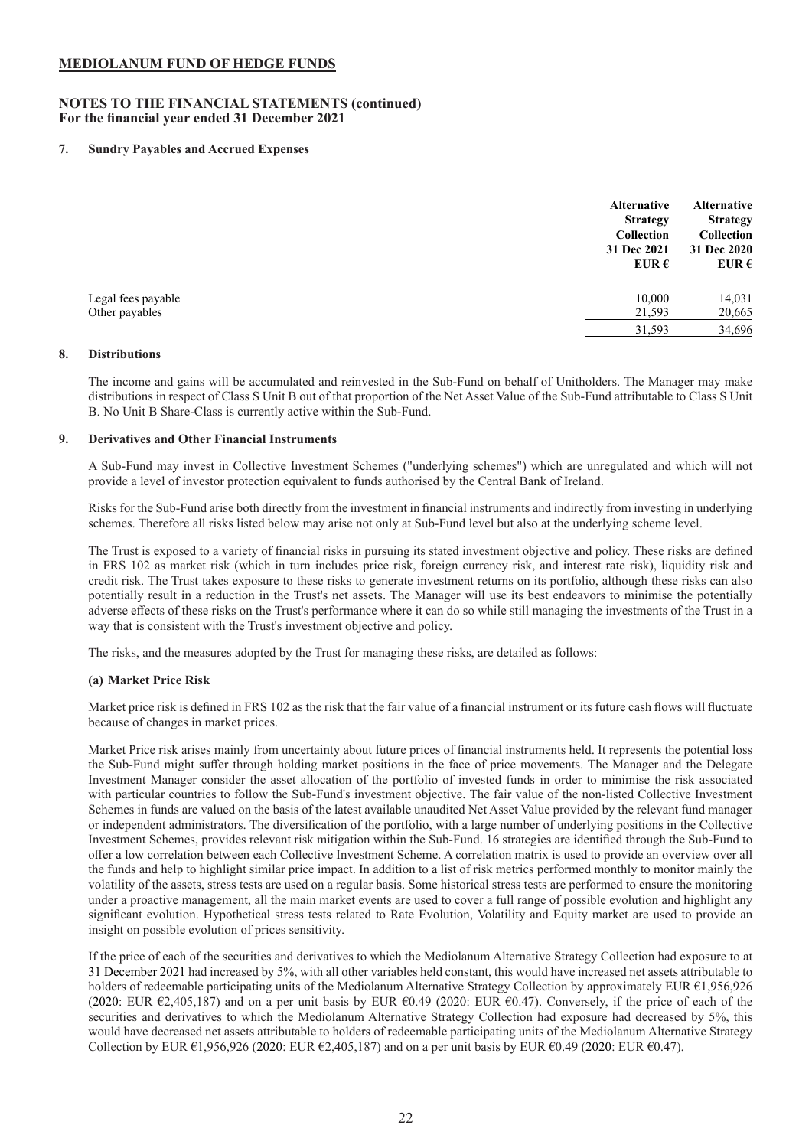### **NOTES TO THE FINANCIAL STATEMENTS (continued) For the financial year ended 31 December 2021**

### **7. Sundry Payables and Accrued Expenses**

|                                      | <b>Alternative</b><br><b>Strategy</b><br><b>Collection</b><br>31 Dec 2021<br>EUR $\epsilon$ | Alternative<br><b>Strategy</b><br><b>Collection</b><br>31 Dec 2020<br>EUR $\epsilon$ |
|--------------------------------------|---------------------------------------------------------------------------------------------|--------------------------------------------------------------------------------------|
| Legal fees payable<br>Other payables | 10,000<br>21,593                                                                            | 14,031<br>20,665                                                                     |
|                                      | 31,593                                                                                      | 34,696                                                                               |

### **8. Distributions**

The income and gains will be accumulated and reinvested in the Sub-Fund on behalf of Unitholders. The Manager may make distributions in respect of Class S Unit B out of that proportion of the Net Asset Value of the Sub-Fund attributable to Class S Unit B. No Unit B Share-Class is currently active within the Sub-Fund.

#### **9. Derivatives and Other Financial Instruments**

A Sub-Fund may invest in Collective Investment Schemes ("underlying schemes") which are unregulated and which will not provide a level of investor protection equivalent to funds authorised by the Central Bank of Ireland.

Risks for the Sub-Fund arise both directly from the investment in financial instruments and indirectly from investing in underlying schemes. Therefore all risks listed below may arise not only at Sub-Fund level but also at the underlying scheme level.

The Trust is exposed to a variety of financial risks in pursuing its stated investment objective and policy. These risks are defined in FRS 102 as market risk (which in turn includes price risk, foreign currency risk, and interest rate risk), liquidity risk and credit risk. The Trust takes exposure to these risks to generate investment returns on its portfolio, although these risks can also potentially result in a reduction in the Trust's net assets. The Manager will use its best endeavors to minimise the potentially adverse effects of these risks on the Trust's performance where it can do so while still managing the investments of the Trust in a way that is consistent with the Trust's investment objective and policy.

The risks, and the measures adopted by the Trust for managing these risks, are detailed as follows:

### **(a) Market Price Risk**

Market price risk is defined in FRS 102 as the risk that the fair value of a financial instrument or its future cash flows will fluctuate because of changes in market prices.

Market Price risk arises mainly from uncertainty about future prices of financial instruments held. It represents the potential loss the Sub-Fund might suffer through holding market positions in the face of price movements. The Manager and the Delegate Investment Manager consider the asset allocation of the portfolio of invested funds in order to minimise the risk associated with particular countries to follow the Sub-Fund's investment objective. The fair value of the non-listed Collective Investment Schemes in funds are valued on the basis of the latest available unaudited Net Asset Value provided by the relevant fund manager or independent administrators. The diversification of the portfolio, with a large number of underlying positions in the Collective Investment Schemes, provides relevant risk mitigation within the Sub-Fund. 16 strategies are identified through the Sub-Fund to offer a low correlation between each Collective Investment Scheme. A correlation matrix is used to provide an overview over all the funds and help to highlight similar price impact. In addition to a list of risk metrics performed monthly to monitor mainly the volatility of the assets, stress tests are used on a regular basis. Some historical stress tests are performed to ensure the monitoring under a proactive management, all the main market events are used to cover a full range of possible evolution and highlight any significant evolution. Hypothetical stress tests related to Rate Evolution, Volatility and Equity market are used to provide an insight on possible evolution of prices sensitivity.

If the price of each of the securities and derivatives to which the Mediolanum Alternative Strategy Collection had exposure to at 31 December 2021 had increased by 5%, with all other variables held constant, this would have increased net assets attributable to holders of redeemable participating units of the Mediolanum Alternative Strategy Collection by approximately EUR €1,956,926 (2020: EUR  $\epsilon$ 2,405,187) and on a per unit basis by EUR  $\epsilon$ 0.49 (2020: EUR  $\epsilon$ 0.47). Conversely, if the price of each of the securities and derivatives to which the Mediolanum Alternative Strategy Collection had exposure had decreased by 5%, this would have decreased net assets attributable to holders of redeemable participating units of the Mediolanum Alternative Strategy Collection by EUR  $\epsilon$ 1,956,926 (2020: EUR  $\epsilon$ 2,405,187) and on a per unit basis by EUR  $\epsilon$ 0.49 (2020: EUR  $\epsilon$ 0.47).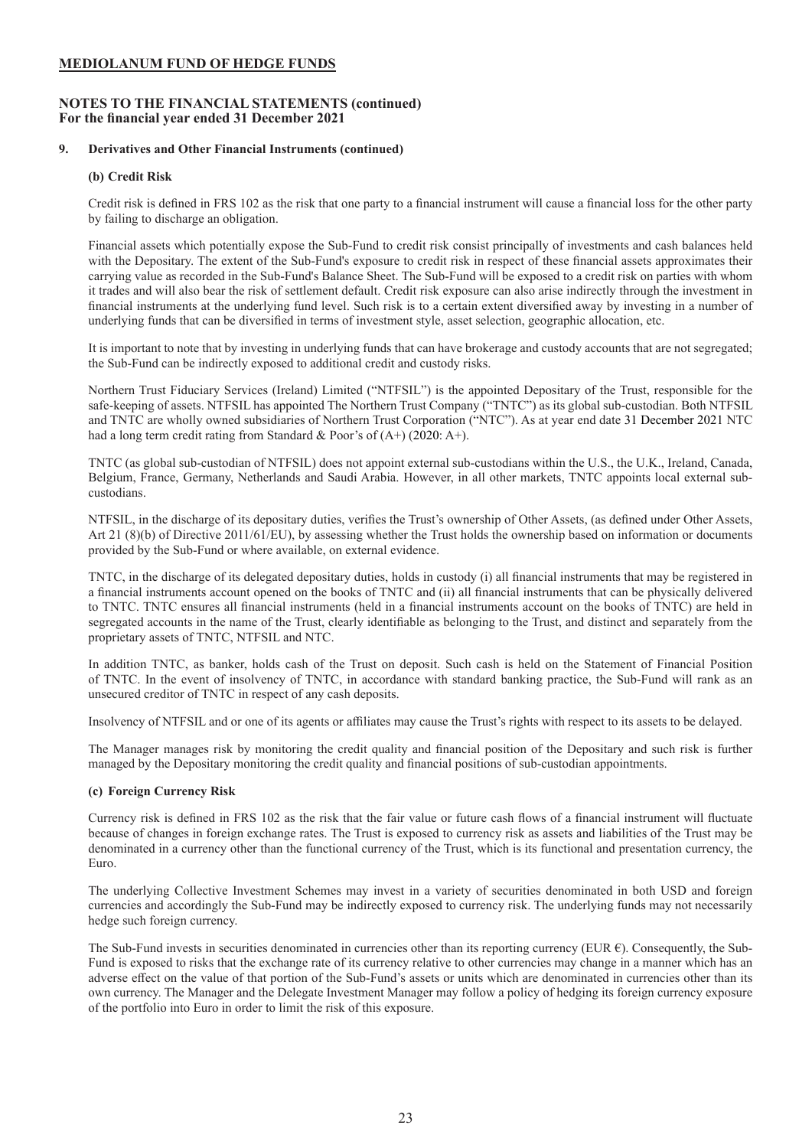### **NOTES TO THE FINANCIAL STATEMENTS (continued) For the financial year ended 31 December 2021**

### **9. Derivatives and Other Financial Instruments (continued)**

### **(b) Credit Risk**

Credit risk is defined in FRS 102 as the risk that one party to a financial instrument will cause a financial loss for the other party by failing to discharge an obligation.

Financial assets which potentially expose the Sub-Fund to credit risk consist principally of investments and cash balances held with the Depositary. The extent of the Sub-Fund's exposure to credit risk in respect of these financial assets approximates their carrying value as recorded in the Sub-Fund's Balance Sheet. The Sub-Fund will be exposed to a credit risk on parties with whom it trades and will also bear the risk of settlement default. Credit risk exposure can also arise indirectly through the investment in financial instruments at the underlying fund level. Such risk is to a certain extent diversified away by investing in a number of underlying funds that can be diversified in terms of investment style, asset selection, geographic allocation, etc.

It is important to note that by investing in underlying funds that can have brokerage and custody accounts that are not segregated; the Sub-Fund can be indirectly exposed to additional credit and custody risks.

Northern Trust Fiduciary Services (Ireland) Limited ("NTFSIL") is the appointed Depositary of the Trust, responsible for the safe-keeping of assets. NTFSIL has appointed The Northern Trust Company ("TNTC") as its global sub-custodian. Both NTFSIL and TNTC are wholly owned subsidiaries of Northern Trust Corporation ("NTC"). As at year end date 31 December 2021 NTC had a long term credit rating from Standard & Poor's of  $(A+)$  (2020: A+).

TNTC (as global sub-custodian of NTFSIL) does not appoint external sub-custodians within the U.S., the U.K., Ireland, Canada, Belgium, France, Germany, Netherlands and Saudi Arabia. However, in all other markets, TNTC appoints local external subcustodians.

NTFSIL, in the discharge of its depositary duties, verifies the Trust's ownership of Other Assets, (as defined under Other Assets, Art 21 (8)(b) of Directive 2011/61/EU), by assessing whether the Trust holds the ownership based on information or documents provided by the Sub-Fund or where available, on external evidence.

TNTC, in the discharge of its delegated depositary duties, holds in custody (i) all financial instruments that may be registered in a financial instruments account opened on the books of TNTC and (ii) all financial instruments that can be physically delivered to TNTC. TNTC ensures all financial instruments (held in a financial instruments account on the books of TNTC) are held in segregated accounts in the name of the Trust, clearly identifiable as belonging to the Trust, and distinct and separately from the proprietary assets of TNTC, NTFSIL and NTC.

In addition TNTC, as banker, holds cash of the Trust on deposit. Such cash is held on the Statement of Financial Position of TNTC. In the event of insolvency of TNTC, in accordance with standard banking practice, the Sub-Fund will rank as an unsecured creditor of TNTC in respect of any cash deposits.

Insolvency of NTFSIL and or one of its agents or affiliates may cause the Trust's rights with respect to its assets to be delayed.

The Manager manages risk by monitoring the credit quality and financial position of the Depositary and such risk is further managed by the Depositary monitoring the credit quality and financial positions of sub-custodian appointments.

### **(c) Foreign Currency Risk**

Currency risk is defined in FRS 102 as the risk that the fair value or future cash flows of a financial instrument will fluctuate because of changes in foreign exchange rates. The Trust is exposed to currency risk as assets and liabilities of the Trust may be denominated in a currency other than the functional currency of the Trust, which is its functional and presentation currency, the Euro.

The underlying Collective Investment Schemes may invest in a variety of securities denominated in both USD and foreign currencies and accordingly the Sub-Fund may be indirectly exposed to currency risk. The underlying funds may not necessarily hedge such foreign currency.

The Sub-Fund invests in securities denominated in currencies other than its reporting currency (EUR  $\epsilon$ ). Consequently, the Sub-Fund is exposed to risks that the exchange rate of its currency relative to other currencies may change in a manner which has an adverse effect on the value of that portion of the Sub-Fund's assets or units which are denominated in currencies other than its own currency. The Manager and the Delegate Investment Manager may follow a policy of hedging its foreign currency exposure of the portfolio into Euro in order to limit the risk of this exposure.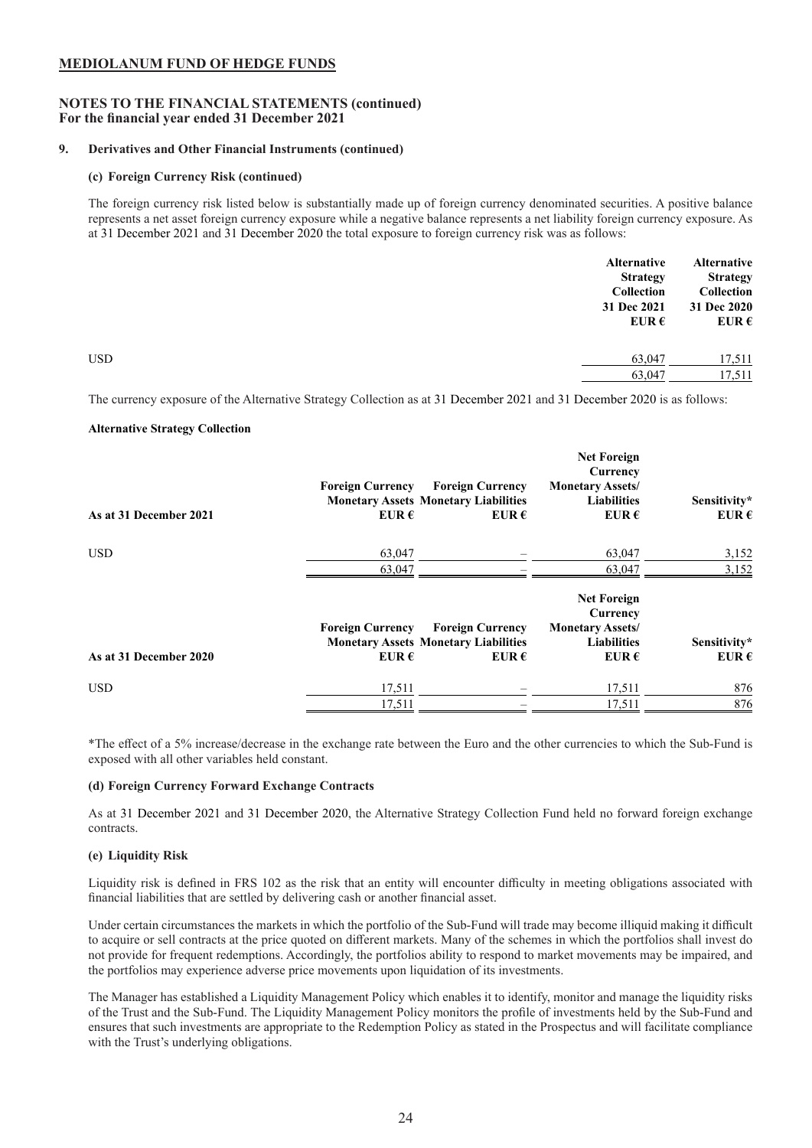### **NOTES TO THE FINANCIAL STATEMENTS (continued) For the financial year ended 31 December 2021**

### **9. Derivatives and Other Financial Instruments (continued)**

### **(c) Foreign Currency Risk (continued)**

The foreign currency risk listed below is substantially made up of foreign currency denominated securities. A positive balance represents a net asset foreign currency exposure while a negative balance represents a net liability foreign currency exposure. As at 31 December 2021 and 31 December 2020 the total exposure to foreign currency risk was as follows:

|            | <b>Alternative</b><br><b>Strategy</b><br>Collection<br>31 Dec 2021<br>EUR $\epsilon$ | <b>Alternative</b><br><b>Strategy</b><br>Collection<br>31 Dec 2020<br>EUR $\epsilon$ |
|------------|--------------------------------------------------------------------------------------|--------------------------------------------------------------------------------------|
| <b>USD</b> | 63,047                                                                               | 17,511                                                                               |
|            | 63,047                                                                               | 17,511                                                                               |
|            |                                                                                      |                                                                                      |

The currency exposure of the Alternative Strategy Collection as at 31 December 2021 and 31 December 2020 is as follows:

#### **Alternative Strategy Collection**

| As at 31 December 2021 | <b>Foreign Currency</b><br>EUR $\epsilon$ | <b>Foreign Currency</b><br><b>Monetary Assets Monetary Liabilities</b><br>EUR $\epsilon$ | <b>Net Foreign</b><br>Currency<br><b>Monetary Assets/</b><br><b>Liabilities</b><br>EUR $\epsilon$ | Sensitivity*<br>EUR $\epsilon$ |
|------------------------|-------------------------------------------|------------------------------------------------------------------------------------------|---------------------------------------------------------------------------------------------------|--------------------------------|
| <b>USD</b>             | 63,047                                    |                                                                                          | 63,047                                                                                            | 3,152                          |
|                        | 63,047                                    |                                                                                          | 63,047                                                                                            | 3,152                          |
|                        | <b>Foreign Currency</b>                   | <b>Foreign Currency</b><br><b>Monetary Assets Monetary Liabilities</b>                   | <b>Net Foreign</b><br>Currency<br><b>Monetary Assets/</b><br><b>Liabilities</b>                   | Sensitivity*                   |
| As at 31 December 2020 | EUR $\epsilon$                            | EUR $\epsilon$                                                                           | EUR $\epsilon$                                                                                    | EUR $\epsilon$                 |
| <b>USD</b>             | 17,511                                    |                                                                                          | 17,511                                                                                            | 876                            |
|                        | 17,511                                    |                                                                                          | 17,511                                                                                            | 876                            |

\*The effect of a 5% increase/decrease in the exchange rate between the Euro and the other currencies to which the Sub-Fund is exposed with all other variables held constant.

### **(d) Foreign Currency Forward Exchange Contracts**

As at 31 December 2021 and 31 December 2020, the Alternative Strategy Collection Fund held no forward foreign exchange contracts.

#### **(e) Liquidity Risk**

Liquidity risk is defined in FRS 102 as the risk that an entity will encounter difficulty in meeting obligations associated with financial liabilities that are settled by delivering cash or another financial asset.

Under certain circumstances the markets in which the portfolio of the Sub-Fund will trade may become illiquid making it difficult to acquire or sell contracts at the price quoted on different markets. Many of the schemes in which the portfolios shall invest do not provide for frequent redemptions. Accordingly, the portfolios ability to respond to market movements may be impaired, and the portfolios may experience adverse price movements upon liquidation of its investments.

The Manager has established a Liquidity Management Policy which enables it to identify, monitor and manage the liquidity risks of the Trust and the Sub-Fund. The Liquidity Management Policy monitors the profile of investments held by the Sub-Fund and ensures that such investments are appropriate to the Redemption Policy as stated in the Prospectus and will facilitate compliance with the Trust's underlying obligations.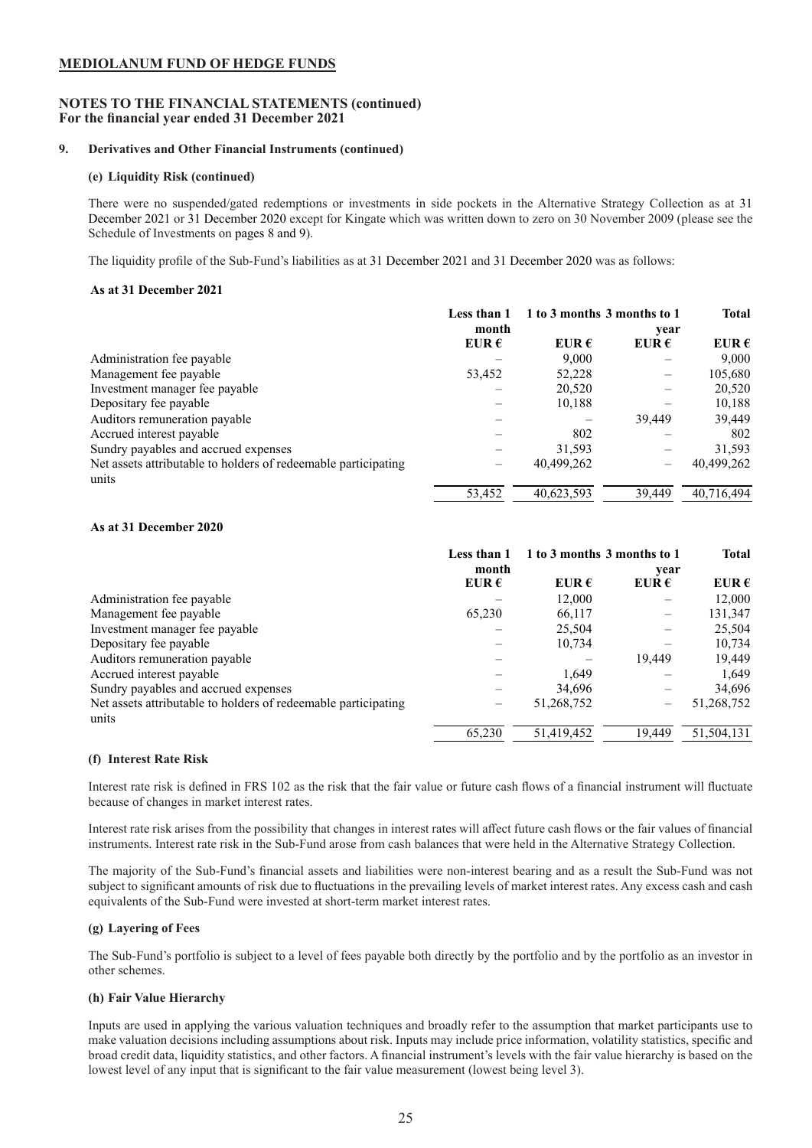### **NOTES TO THE FINANCIAL STATEMENTS (continued) For the financial year ended 31 December 2021**

### **9. Derivatives and Other Financial Instruments (continued)**

### **(e) Liquidity Risk (continued)**

There were no suspended/gated redemptions or investments in side pockets in the Alternative Strategy Collection as at 31 December 2021 or 31 December 2020 except for Kingate which was written down to zero on 30 November 2009 (please see the Schedule of Investments on pages 8 and 9).

The liquidity profile of the Sub-Fund's liabilities as at 31 December 2021 and 31 December 2020 was as follows:

### **As at 31 December 2021**

|                                                                | Less than 1    | 1 to 3 months 3 months to 1 |                | <b>Total</b>   |
|----------------------------------------------------------------|----------------|-----------------------------|----------------|----------------|
|                                                                | month          |                             | year           |                |
|                                                                | EUR $\epsilon$ | EUR $\epsilon$              | EUR $\epsilon$ | EUR $\epsilon$ |
| Administration fee payable                                     |                | 9,000                       |                | 9,000          |
| Management fee payable                                         | 53,452         | 52,228                      |                | 105,680        |
| Investment manager fee payable                                 |                | 20,520                      |                | 20,520         |
| Depositary fee payable                                         |                | 10,188                      |                | 10,188         |
| Auditors remuneration payable                                  |                |                             | 39.449         | 39,449         |
| Accrued interest payable                                       |                | 802                         |                | 802            |
| Sundry payables and accrued expenses                           |                | 31,593                      |                | 31,593         |
| Net assets attributable to holders of redeemable participating |                | 40,499,262                  |                | 40,499,262     |
| units                                                          |                |                             |                |                |
|                                                                | 53,452         | 40.623.593                  | 39.449         | 40.716.494     |

### **As at 31 December 2020**

|                                                                | Less than 1    | 1 to 3 months 3 months to 1 |                | <b>Total</b>   |
|----------------------------------------------------------------|----------------|-----------------------------|----------------|----------------|
|                                                                | month          |                             | year           |                |
|                                                                | EUR $\epsilon$ | EUR $\epsilon$              | EUR $\epsilon$ | EUR $\epsilon$ |
| Administration fee payable                                     |                | 12,000                      |                | 12,000         |
| Management fee payable                                         | 65,230         | 66,117                      |                | 131,347        |
| Investment manager fee payable                                 |                | 25,504                      |                | 25,504         |
| Depositary fee payable                                         |                | 10,734                      |                | 10,734         |
| Auditors remuneration payable                                  |                |                             | 19.449         | 19,449         |
| Accrued interest payable                                       |                | 1,649                       |                | 1,649          |
| Sundry payables and accrued expenses                           |                | 34,696                      |                | 34,696         |
| Net assets attributable to holders of redeemable participating |                | 51,268,752                  |                | 51,268,752     |
| units                                                          |                |                             |                |                |
|                                                                | 65,230         | 51,419,452                  | 19.449         | 51,504,131     |

#### **(f) Interest Rate Risk**

Interest rate risk is defined in FRS 102 as the risk that the fair value or future cash flows of a financial instrument will fluctuate because of changes in market interest rates.

Interest rate risk arises from the possibility that changes in interest rates will affect future cash flows or the fair values of financial instruments. Interest rate risk in the Sub-Fund arose from cash balances that were held in the Alternative Strategy Collection.

The majority of the Sub-Fund's financial assets and liabilities were non-interest bearing and as a result the Sub-Fund was not subject to significant amounts of risk due to fluctuations in the prevailing levels of market interest rates. Any excess cash and cash equivalents of the Sub-Fund were invested at short-term market interest rates.

### **(g) Layering of Fees**

The Sub-Fund's portfolio is subject to a level of fees payable both directly by the portfolio and by the portfolio as an investor in other schemes.

### **(h) Fair Value Hierarchy**

Inputs are used in applying the various valuation techniques and broadly refer to the assumption that market participants use to make valuation decisions including assumptions about risk. Inputs may include price information, volatility statistics, specific and broad credit data, liquidity statistics, and other factors. A financial instrument's levels with the fair value hierarchy is based on the lowest level of any input that is significant to the fair value measurement (lowest being level 3).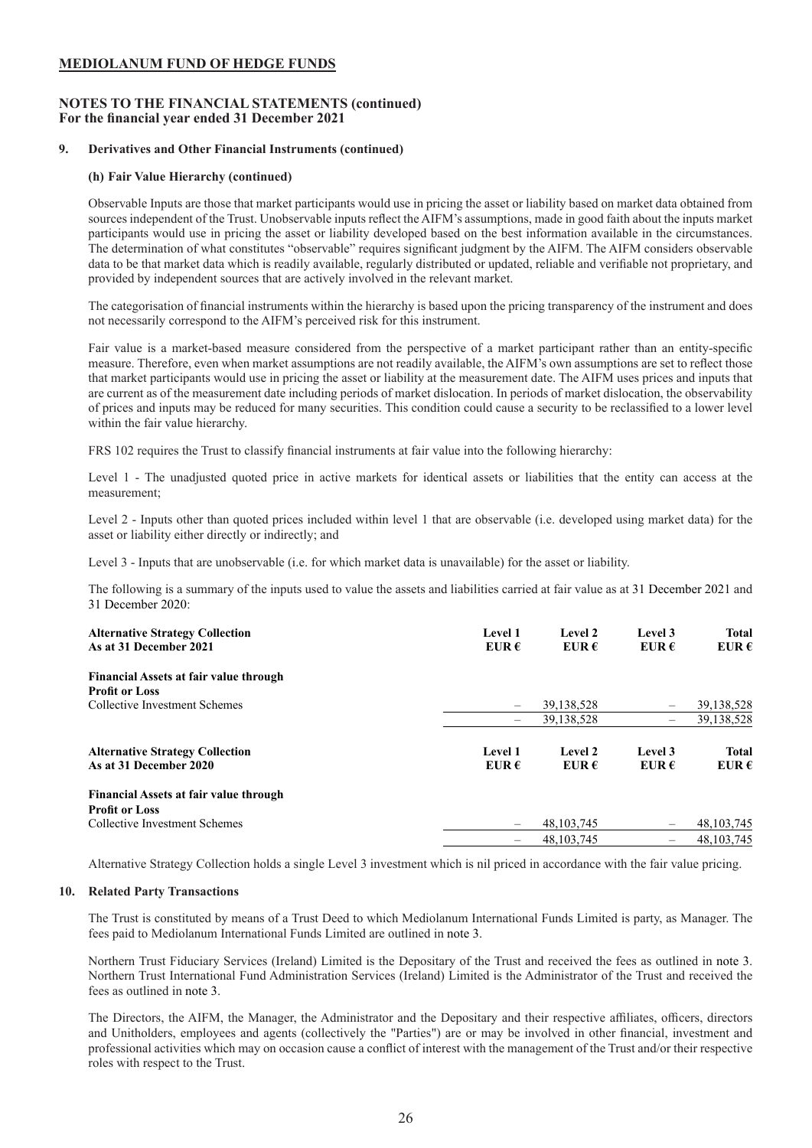### **NOTES TO THE FINANCIAL STATEMENTS (continued) For the financial year ended 31 December 2021**

### **9. Derivatives and Other Financial Instruments (continued)**

### **(h) Fair Value Hierarchy (continued)**

Observable Inputs are those that market participants would use in pricing the asset or liability based on market data obtained from sources independent of the Trust. Unobservable inputs reflect the AIFM's assumptions, made in good faith about the inputs market participants would use in pricing the asset or liability developed based on the best information available in the circumstances. The determination of what constitutes "observable" requires significant judgment by the AIFM. The AIFM considers observable data to be that market data which is readily available, regularly distributed or updated, reliable and verifiable not proprietary, and provided by independent sources that are actively involved in the relevant market.

The categorisation of financial instruments within the hierarchy is based upon the pricing transparency of the instrument and does not necessarily correspond to the AIFM's perceived risk for this instrument.

Fair value is a market-based measure considered from the perspective of a market participant rather than an entity-specific measure. Therefore, even when market assumptions are not readily available, the AIFM's own assumptions are set to reflect those that market participants would use in pricing the asset or liability at the measurement date. The AIFM uses prices and inputs that are current as of the measurement date including periods of market dislocation. In periods of market dislocation, the observability of prices and inputs may be reduced for many securities. This condition could cause a security to be reclassified to a lower level within the fair value hierarchy.

FRS 102 requires the Trust to classify financial instruments at fair value into the following hierarchy:

Level 1 - The unadjusted quoted price in active markets for identical assets or liabilities that the entity can access at the measurement;

Level 2 - Inputs other than quoted prices included within level 1 that are observable (i.e. developed using market data) for the asset or liability either directly or indirectly; and

Level 3 - Inputs that are unobservable (i.e. for which market data is unavailable) for the asset or liability.

The following is a summary of the inputs used to value the assets and liabilities carried at fair value as at 31 December 2021 and 31 December 2020:

| <b>Alternative Strategy Collection</b><br>As at 31 December 2021 | Level 1<br>EUR $\epsilon$ | Level 2<br>EUR $\epsilon$ | Level 3<br>EUR $\epsilon$      | <b>Total</b><br>EUR $\epsilon$ |
|------------------------------------------------------------------|---------------------------|---------------------------|--------------------------------|--------------------------------|
| <b>Financial Assets at fair value through</b>                    |                           |                           |                                |                                |
| <b>Profit or Loss</b>                                            |                           |                           |                                |                                |
| Collective Investment Schemes                                    | $\overline{\phantom{0}}$  | 39,138,528                | $\qquad \qquad \longleftarrow$ | 39,138,528                     |
|                                                                  | $\qquad \qquad -$         | 39,138,528                | $\overline{\phantom{a}}$       | 39,138,528                     |
| <b>Alternative Strategy Collection</b><br>As at 31 December 2020 | Level 1<br>EUR $\epsilon$ | Level 2<br>EUR $\epsilon$ | Level 3<br>EUR $\epsilon$      | <b>Total</b><br>EUR $\epsilon$ |
| Financial Assets at fair value through                           |                           |                           |                                |                                |
| <b>Profit or Loss</b>                                            |                           |                           |                                |                                |
| Collective Investment Schemes                                    | -                         | 48, 103, 745              |                                | 48, 103, 745                   |
|                                                                  | -                         | 48, 103, 745              | $\qquad \qquad \longleftarrow$ | 48.103.745                     |

Alternative Strategy Collection holds a single Level 3 investment which is nil priced in accordance with the fair value pricing.

### **10. Related Party Transactions**

The Trust is constituted by means of a Trust Deed to which Mediolanum International Funds Limited is party, as Manager. The fees paid to Mediolanum International Funds Limited are outlined in note 3.

Northern Trust Fiduciary Services (Ireland) Limited is the Depositary of the Trust and received the fees as outlined in note 3. Northern Trust International Fund Administration Services (Ireland) Limited is the Administrator of the Trust and received the fees as outlined in note 3.

The Directors, the AIFM, the Manager, the Administrator and the Depositary and their respective affiliates, officers, directors and Unitholders, employees and agents (collectively the "Parties") are or may be involved in other financial, investment and professional activities which may on occasion cause a conflict of interest with the management of the Trust and/or their respective roles with respect to the Trust.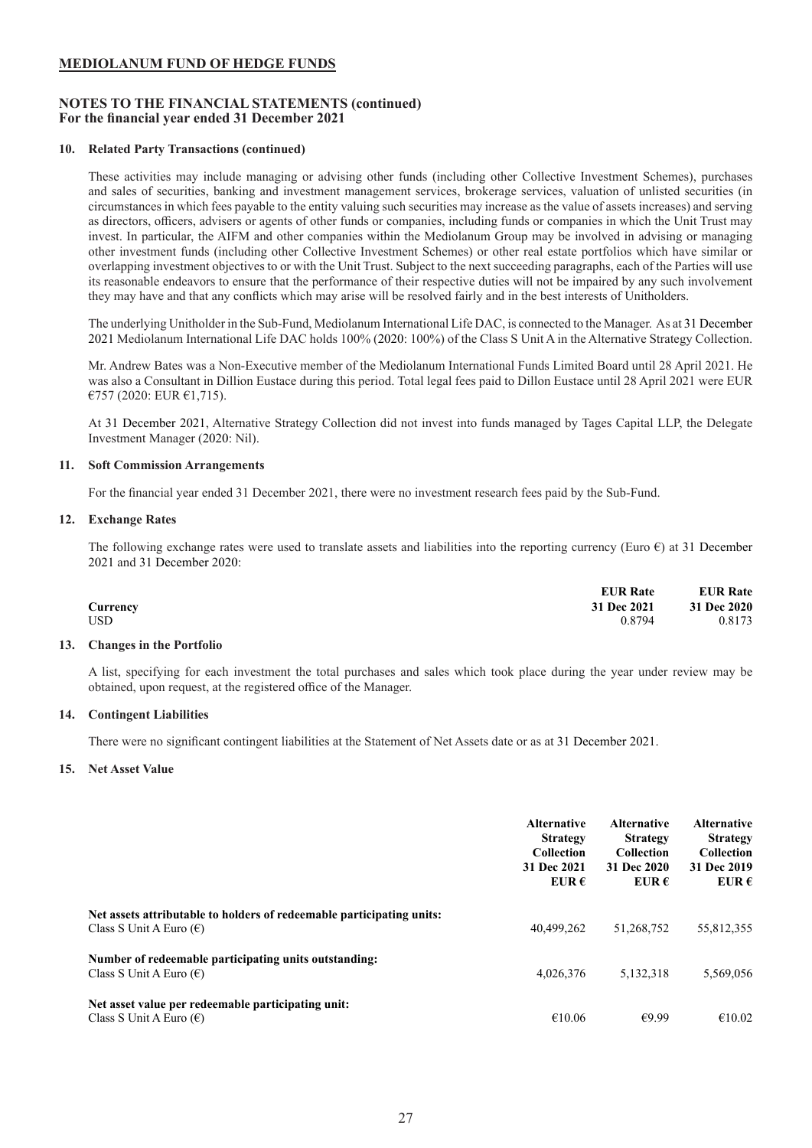### **NOTES TO THE FINANCIAL STATEMENTS (continued) For the financial year ended 31 December 2021**

### **10. Related Party Transactions (continued)**

These activities may include managing or advising other funds (including other Collective Investment Schemes), purchases and sales of securities, banking and investment management services, brokerage services, valuation of unlisted securities (in circumstances in which fees payable to the entity valuing such securities may increase as the value of assets increases) and serving as directors, officers, advisers or agents of other funds or companies, including funds or companies in which the Unit Trust may invest. In particular, the AIFM and other companies within the Mediolanum Group may be involved in advising or managing other investment funds (including other Collective Investment Schemes) or other real estate portfolios which have similar or overlapping investment objectives to or with the Unit Trust. Subject to the next succeeding paragraphs, each of the Parties will use its reasonable endeavors to ensure that the performance of their respective duties will not be impaired by any such involvement they may have and that any conflicts which may arise will be resolved fairly and in the best interests of Unitholders.

The underlying Unitholder in the Sub-Fund, Mediolanum International Life DAC, is connected to the Manager. As at 31 December 2021 Mediolanum International Life DAC holds 100% (2020: 100%) of the Class S Unit A in the Alternative Strategy Collection.

Mr. Andrew Bates was a Non-Executive member of the Mediolanum International Funds Limited Board until 28 April 2021. He was also a Consultant in Dillion Eustace during this period. Total legal fees paid to Dillon Eustace until 28 April 2021 were EUR €757 (2020: EUR €1,715).

At 31 December 2021, Alternative Strategy Collection did not invest into funds managed by Tages Capital LLP, the Delegate Investment Manager (2020: Nil).

### **11. Soft Commission Arrangements**

For the financial year ended 31 December 2021, there were no investment research fees paid by the Sub-Fund.

### **12. Exchange Rates**

The following exchange rates were used to translate assets and liabilities into the reporting currency (Euro  $\epsilon$ ) at 31 December 2021 and 31 December 2020:

|          | <b>EUR Rate</b> | <b>EUR Rate</b> |
|----------|-----------------|-----------------|
| Currency | 31 Dec 2021     | 31 Dec 2020     |
| USD      | 0.8794          | 0.8173          |

#### **13. Changes in the Portfolio**

A list, specifying for each investment the total purchases and sales which took place during the year under review may be obtained, upon request, at the registered office of the Manager.

#### **14. Contingent Liabilities**

There were no significant contingent liabilities at the Statement of Net Assets date or as at 31 December 2021.

#### **15. Net Asset Value**

|                                                                                                           | <b>Alternative</b><br><b>Strategy</b><br><b>Collection</b><br>31 Dec 2021<br>EUR $\epsilon$ | <b>Alternative</b><br><b>Strategy</b><br><b>Collection</b><br>31 Dec 2020<br>EUR $\epsilon$ | <b>Alternative</b><br><b>Strategy</b><br><b>Collection</b><br>31 Dec 2019<br>EUR $\epsilon$ |
|-----------------------------------------------------------------------------------------------------------|---------------------------------------------------------------------------------------------|---------------------------------------------------------------------------------------------|---------------------------------------------------------------------------------------------|
| Net assets attributable to holders of redeemable participating units:<br>Class S Unit A Euro $(\epsilon)$ | 40,499,262                                                                                  | 51,268,752                                                                                  | 55,812,355                                                                                  |
| Number of redeemable participating units outstanding:<br>Class S Unit A Euro $(\epsilon)$                 | 4,026,376                                                                                   | 5,132,318                                                                                   | 5,569,056                                                                                   |
| Net asset value per redeemable participating unit:<br>Class S Unit A Euro $(\epsilon)$                    | €10.06                                                                                      | €9.99                                                                                       | €10.02                                                                                      |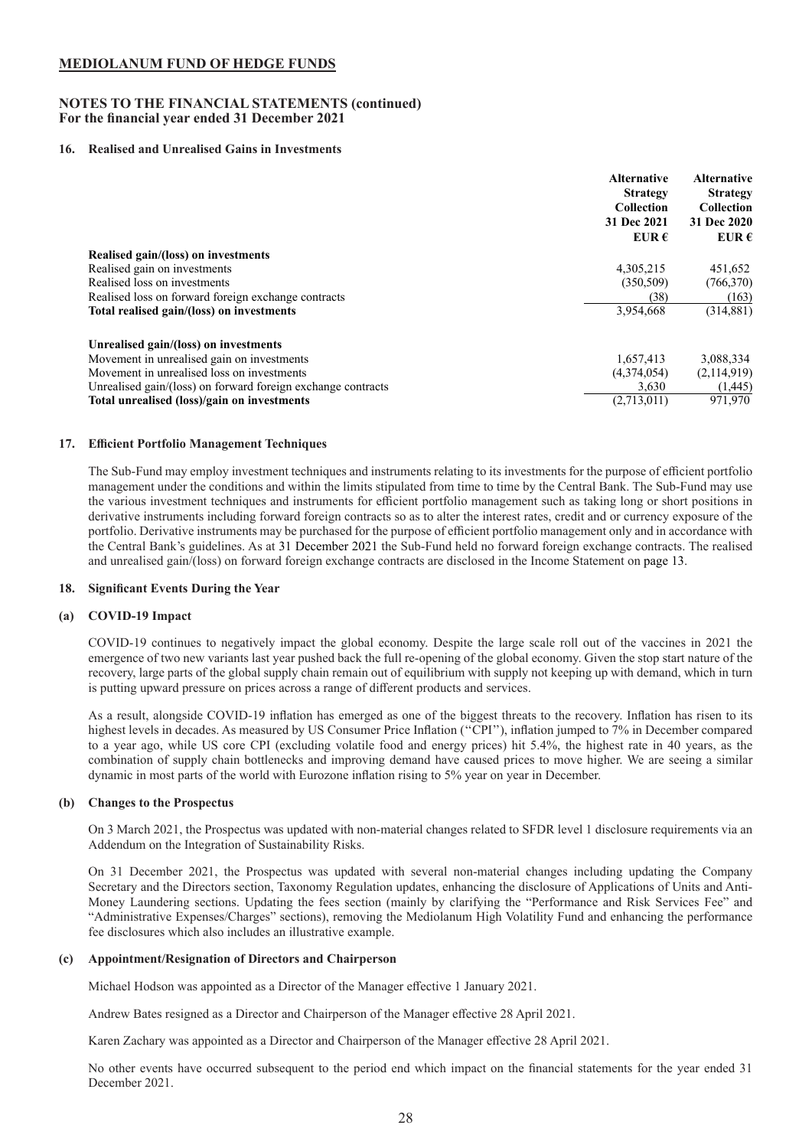### **NOTES TO THE FINANCIAL STATEMENTS (continued) For the financial year ended 31 December 2021**

### **16. Realised and Unrealised Gains in Investments**

|                                                              | <b>Alternative</b><br><b>Strategy</b> | <b>Alternative</b><br><b>Strategy</b> |
|--------------------------------------------------------------|---------------------------------------|---------------------------------------|
|                                                              | <b>Collection</b>                     | <b>Collection</b>                     |
|                                                              | 31 Dec 2021                           | 31 Dec 2020                           |
|                                                              | EUR $\epsilon$                        | EUR $\epsilon$                        |
| Realised gain/(loss) on investments                          |                                       |                                       |
| Realised gain on investments                                 | 4.305.215                             | 451,652                               |
| Realised loss on investments                                 | (350, 509)                            | (766,370)                             |
| Realised loss on forward foreign exchange contracts          | (38)                                  | (163)                                 |
| Total realised gain/(loss) on investments                    | 3,954,668                             | (314, 881)                            |
| Unrealised gain/(loss) on investments                        |                                       |                                       |
| Movement in unrealised gain on investments                   | 1,657,413                             | 3,088,334                             |
| Movement in unrealised loss on investments                   | (4,374,054)                           | (2,114,919)                           |
| Unrealised gain/(loss) on forward foreign exchange contracts | 3.630                                 | (1,445)                               |
| Total unrealised (loss)/gain on investments                  | (2,713,011)                           | 971,970                               |

### **17. Efficient Portfolio Management Techniques**

The Sub-Fund may employ investment techniques and instruments relating to its investments for the purpose of efficient portfolio management under the conditions and within the limits stipulated from time to time by the Central Bank. The Sub-Fund may use the various investment techniques and instruments for efficient portfolio management such as taking long or short positions in derivative instruments including forward foreign contracts so as to alter the interest rates, credit and or currency exposure of the portfolio. Derivative instruments may be purchased for the purpose of efficient portfolio management only and in accordance with the Central Bank's guidelines. As at 31 December 2021 the Sub-Fund held no forward foreign exchange contracts. The realised and unrealised gain/(loss) on forward foreign exchange contracts are disclosed in the Income Statement on page 13.

#### **18. Significant Events During the Year**

#### **(a) COVID-19 Impact**

COVID-19 continues to negatively impact the global economy. Despite the large scale roll out of the vaccines in 2021 the emergence of two new variants last year pushed back the full re-opening of the global economy. Given the stop start nature of the recovery, large parts of the global supply chain remain out of equilibrium with supply not keeping up with demand, which in turn is putting upward pressure on prices across a range of different products and services.

As a result, alongside COVID-19 inflation has emerged as one of the biggest threats to the recovery. Inflation has risen to its highest levels in decades. As measured by US Consumer Price Inflation ("CPI"), inflation jumped to 7% in December compared to a year ago, while US core CPI (excluding volatile food and energy prices) hit 5.4%, the highest rate in 40 years, as the combination of supply chain bottlenecks and improving demand have caused prices to move higher. We are seeing a similar dynamic in most parts of the world with Eurozone inflation rising to 5% year on year in December.

#### **(b) Changes to the Prospectus**

On 3 March 2021, the Prospectus was updated with non-material changes related to SFDR level 1 disclosure requirements via an Addendum on the Integration of Sustainability Risks.

On 31 December 2021, the Prospectus was updated with several non-material changes including updating the Company Secretary and the Directors section, Taxonomy Regulation updates, enhancing the disclosure of Applications of Units and Anti-Money Laundering sections. Updating the fees section (mainly by clarifying the "Performance and Risk Services Fee" and "Administrative Expenses/Charges" sections), removing the Mediolanum High Volatility Fund and enhancing the performance fee disclosures which also includes an illustrative example.

#### **(c) Appointment/Resignation of Directors and Chairperson**

Michael Hodson was appointed as a Director of the Manager effective 1 January 2021.

Andrew Bates resigned as a Director and Chairperson of the Manager effective 28 April 2021.

Karen Zachary was appointed as a Director and Chairperson of the Manager effective 28 April 2021.

No other events have occurred subsequent to the period end which impact on the financial statements for the year ended 31 December 2021.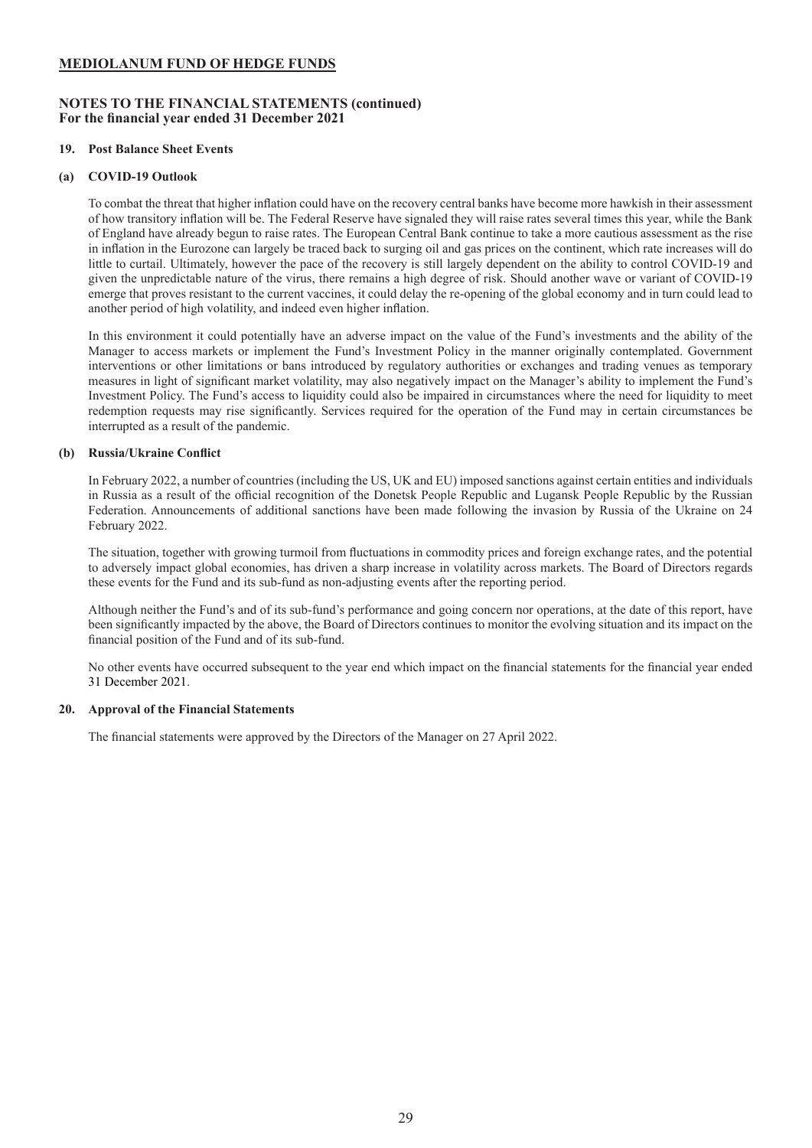### **NOTES TO THE FINANCIAL STATEMENTS (continued) For the financial year ended 31 December 2021**

### **19. Post Balance Sheet Events**

### **(a) COVID-19 Outlook**

To combat the threat that higher inflation could have on the recovery central banks have become more hawkish in their assessment of how transitory inflation will be. The Federal Reserve have signaled they will raise rates several times this year, while the Bank of England have already begun to raise rates. The European Central Bank continue to take a more cautious assessment as the rise in inflation in the Eurozone can largely be traced back to surging oil and gas prices on the continent, which rate increases will do little to curtail. Ultimately, however the pace of the recovery is still largely dependent on the ability to control COVID-19 and given the unpredictable nature of the virus, there remains a high degree of risk. Should another wave or variant of COVID-19 emerge that proves resistant to the current vaccines, it could delay the re-opening of the global economy and in turn could lead to another period of high volatility, and indeed even higher inflation.

In this environment it could potentially have an adverse impact on the value of the Fund's investments and the ability of the Manager to access markets or implement the Fund's Investment Policy in the manner originally contemplated. Government interventions or other limitations or bans introduced by regulatory authorities or exchanges and trading venues as temporary measures in light of significant market volatility, may also negatively impact on the Manager's ability to implement the Fund's Investment Policy. The Fund's access to liquidity could also be impaired in circumstances where the need for liquidity to meet redemption requests may rise significantly. Services required for the operation of the Fund may in certain circumstances be interrupted as a result of the pandemic.

### **(b) Russia/Ukraine Conflict**

In February 2022, a number of countries (including the US, UK and EU) imposed sanctions against certain entities and individuals in Russia as a result of the official recognition of the Donetsk People Republic and Lugansk People Republic by the Russian Federation. Announcements of additional sanctions have been made following the invasion by Russia of the Ukraine on 24 February 2022.

The situation, together with growing turmoil from fluctuations in commodity prices and foreign exchange rates, and the potential to adversely impact global economies, has driven a sharp increase in volatility across markets. The Board of Directors regards these events for the Fund and its sub-fund as non-adjusting events after the reporting period.

Although neither the Fund's and of its sub-fund's performance and going concern nor operations, at the date of this report, have been significantly impacted by the above, the Board of Directors continues to monitor the evolving situation and its impact on the financial position of the Fund and of its sub-fund.

No other events have occurred subsequent to the year end which impact on the financial statements for the financial year ended 31 December 2021.

### **20. Approval of the Financial Statements**

The financial statements were approved by the Directors of the Manager on 27 April 2022.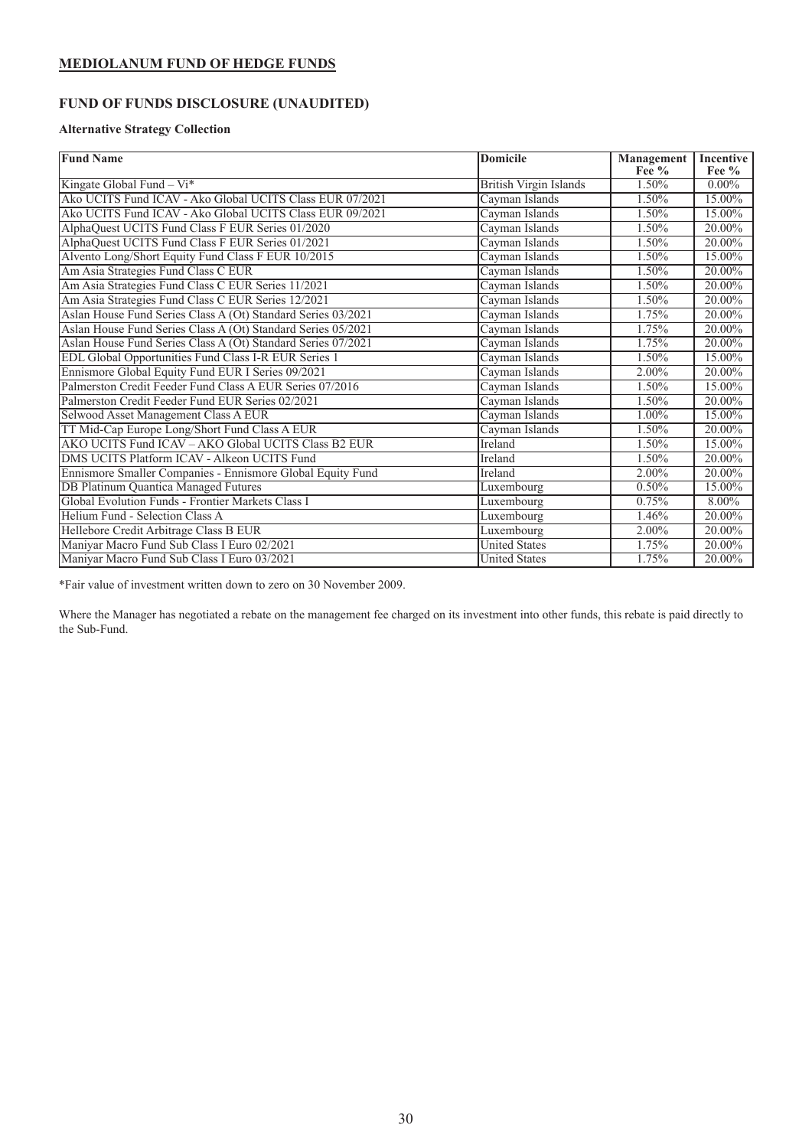# <span id="page-30-0"></span>**FUND OF FUNDS DISCLOSURE (UNAUDITED)**

### **Alternative Strategy Collection**

| <b>Fund Name</b>                                             | Domicile                      | <b>Management</b> | <b>Incentive</b> |
|--------------------------------------------------------------|-------------------------------|-------------------|------------------|
|                                                              |                               | Fee $%$           | Fee %            |
| Kingate Global Fund $-Vi^*$                                  | <b>British Virgin Islands</b> | 1.50%             | $0.00\%$         |
| Ako UCITS Fund ICAV - Ako Global UCITS Class EUR 07/2021     | Cayman Islands                | 1.50%             | 15.00%           |
| Ako UCITS Fund ICAV - Ako Global UCITS Class EUR 09/2021     | Cayman Islands                | 1.50%             | 15.00%           |
| AlphaQuest UCITS Fund Class F EUR Series 01/2020             | Cayman Islands                | 1.50%             | 20.00%           |
| AlphaQuest UCITS Fund Class F EUR Series 01/2021             | Cayman Islands                | 1.50%             | 20.00%           |
| Alvento Long/Short Equity Fund Class F EUR 10/2015           | Cayman Islands                | 1.50%             | 15.00%           |
| Am Asia Strategies Fund Class C EUR                          | Cayman Islands                | 1.50%             | 20.00%           |
| Am Asia Strategies Fund Class C EUR Series 11/2021           | Cayman Islands                | 1.50%             | 20.00%           |
| Am Asia Strategies Fund Class C EUR Series 12/2021           | Cayman Islands                | 1.50%             | 20.00%           |
| Aslan House Fund Series Class A (Ot) Standard Series 03/2021 | Cayman Islands                | 1.75%             | 20.00%           |
| Aslan House Fund Series Class A (Ot) Standard Series 05/2021 | Cayman Islands                | 1.75%             | 20.00%           |
| Aslan House Fund Series Class A (Ot) Standard Series 07/2021 | Cayman Islands                | 1.75%             | 20.00%           |
| EDL Global Opportunities Fund Class I-R EUR Series 1         | Cayman Islands                | 1.50%             | 15.00%           |
| Ennismore Global Equity Fund EUR I Series 09/2021            | Cayman Islands                | 2.00%             | 20.00%           |
| Palmerston Credit Feeder Fund Class A EUR Series 07/2016     | Cayman Islands                | 1.50%             | 15.00%           |
| Palmerston Credit Feeder Fund EUR Series 02/2021             | Cayman Islands                | 1.50%             | 20.00%           |
| Selwood Asset Management Class A EUR                         | Cayman Islands                | 1.00%             | 15.00%           |
| TT Mid-Cap Europe Long/Short Fund Class A EUR                | Cayman Islands                | 1.50%             | 20.00%           |
| AKO UCITS Fund ICAV - AKO Global UCITS Class B2 EUR          | Ireland                       | 1.50%             | 15.00%           |
| DMS UCITS Platform ICAV - Alkeon UCITS Fund                  | Ireland                       | 1.50%             | 20.00%           |
| Ennismore Smaller Companies - Ennismore Global Equity Fund   | Ireland                       | 2.00%             | 20.00%           |
| <b>DB Platinum Quantica Managed Futures</b>                  | Luxembourg                    | 0.50%             | 15.00%           |
| Global Evolution Funds - Frontier Markets Class I            | Luxembourg                    | 0.75%             | 8.00%            |
| Helium Fund - Selection Class A                              | Luxembourg                    | 1.46%             | 20.00%           |
| Hellebore Credit Arbitrage Class B EUR                       | Luxembourg                    | 2.00%             | 20.00%           |
| Maniyar Macro Fund Sub Class I Euro 02/2021                  | <b>United States</b>          | 1.75%             | 20.00%           |
| Maniyar Macro Fund Sub Class I Euro 03/2021                  | <b>United States</b>          | 1.75%             | 20.00%           |

\*Fair value of investment written down to zero on 30 November 2009.

Where the Manager has negotiated a rebate on the management fee charged on its investment into other funds, this rebate is paid directly to the Sub-Fund.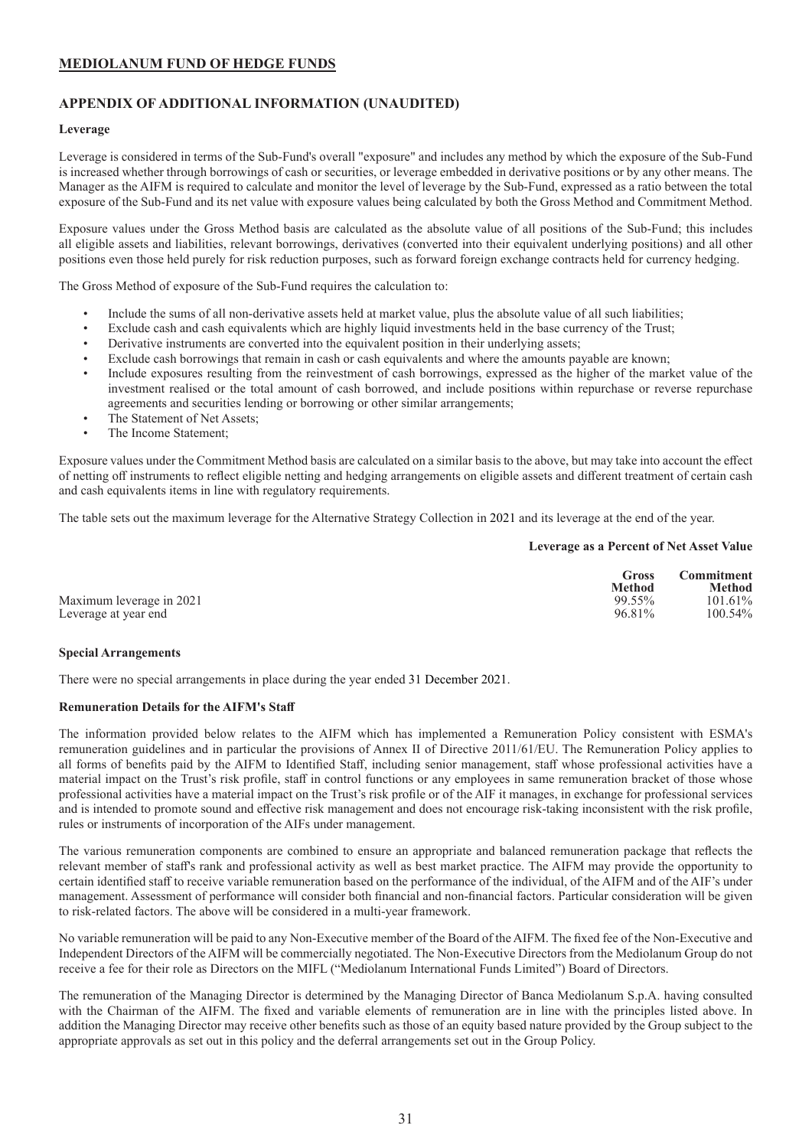### <span id="page-31-0"></span>**APPENDIX OF ADDITIONAL INFORMATION (UNAUDITED)**

### **Leverage**

Leverage is considered in terms of the Sub-Fund's overall "exposure" and includes any method by which the exposure of the Sub-Fund is increased whether through borrowings of cash or securities, or leverage embedded in derivative positions or by any other means. The Manager as the AIFM is required to calculate and monitor the level of leverage by the Sub-Fund, expressed as a ratio between the total exposure of the Sub-Fund and its net value with exposure values being calculated by both the Gross Method and Commitment Method.

Exposure values under the Gross Method basis are calculated as the absolute value of all positions of the Sub-Fund; this includes all eligible assets and liabilities, relevant borrowings, derivatives (converted into their equivalent underlying positions) and all other positions even those held purely for risk reduction purposes, such as forward foreign exchange contracts held for currency hedging.

The Gross Method of exposure of the Sub-Fund requires the calculation to:

- Include the sums of all non-derivative assets held at market value, plus the absolute value of all such liabilities;
- Exclude cash and cash equivalents which are highly liquid investments held in the base currency of the Trust;
- Derivative instruments are converted into the equivalent position in their underlying assets;
- Exclude cash borrowings that remain in cash or cash equivalents and where the amounts payable are known;
- Include exposures resulting from the reinvestment of cash borrowings, expressed as the higher of the market value of the investment realised or the total amount of cash borrowed, and include positions within repurchase or reverse repurchase agreements and securities lending or borrowing or other similar arrangements;
- The Statement of Net Assets:
- The Income Statement:

Exposure values under the Commitment Method basis are calculated on a similar basis to the above, but may take into account the effect of netting off instruments to reflect eligible netting and hedging arrangements on eligible assets and different treatment of certain cash and cash equivalents items in line with regulatory requirements.

The table sets out the maximum leverage for the Alternative Strategy Collection in 2021 and its leverage at the end of the year.

#### **Leverage as a Percent of Net Asset Value**

|                          | Gross<br><b>Method</b> | <b>Commitment</b><br><b>Method</b> |
|--------------------------|------------------------|------------------------------------|
| Maximum leverage in 2021 | 99.55%                 | 101.61%                            |
| Leverage at year end     | 96.81%                 | 100.54%                            |

#### **Special Arrangements**

There were no special arrangements in place during the year ended 31 December 2021.

### **Remuneration Details for the AIFM's Staff**

The information provided below relates to the AIFM which has implemented a Remuneration Policy consistent with ESMA's remuneration guidelines and in particular the provisions of Annex II of Directive 2011/61/EU. The Remuneration Policy applies to all forms of benefits paid by the AIFM to Identified Staff, including senior management, staff whose professional activities have a material impact on the Trust's risk profile, staff in control functions or any employees in same remuneration bracket of those whose professional activities have a material impact on the Trust's risk profile or of the AIF it manages, in exchange for professional services and is intended to promote sound and effective risk management and does not encourage risk-taking inconsistent with the risk profile, rules or instruments of incorporation of the AIFs under management.

The various remuneration components are combined to ensure an appropriate and balanced remuneration package that reflects the relevant member of staff's rank and professional activity as well as best market practice. The AIFM may provide the opportunity to certain identified staff to receive variable remuneration based on the performance of the individual, of the AIFM and of the AIF's under management. Assessment of performance will consider both financial and non-financial factors. Particular consideration will be given to risk-related factors. The above will be considered in a multi-year framework.

No variable remuneration will be paid to any Non-Executive member of the Board of the AIFM. The fixed fee of the Non-Executive and Independent Directors of the AIFM will be commercially negotiated. The Non-Executive Directors from the Mediolanum Group do not receive a fee for their role as Directors on the MIFL ("Mediolanum International Funds Limited") Board of Directors.

The remuneration of the Managing Director is determined by the Managing Director of Banca Mediolanum S.p.A. having consulted with the Chairman of the AIFM. The fixed and variable elements of remuneration are in line with the principles listed above. In addition the Managing Director may receive other benefits such as those of an equity based nature provided by the Group subject to the appropriate approvals as set out in this policy and the deferral arrangements set out in the Group Policy.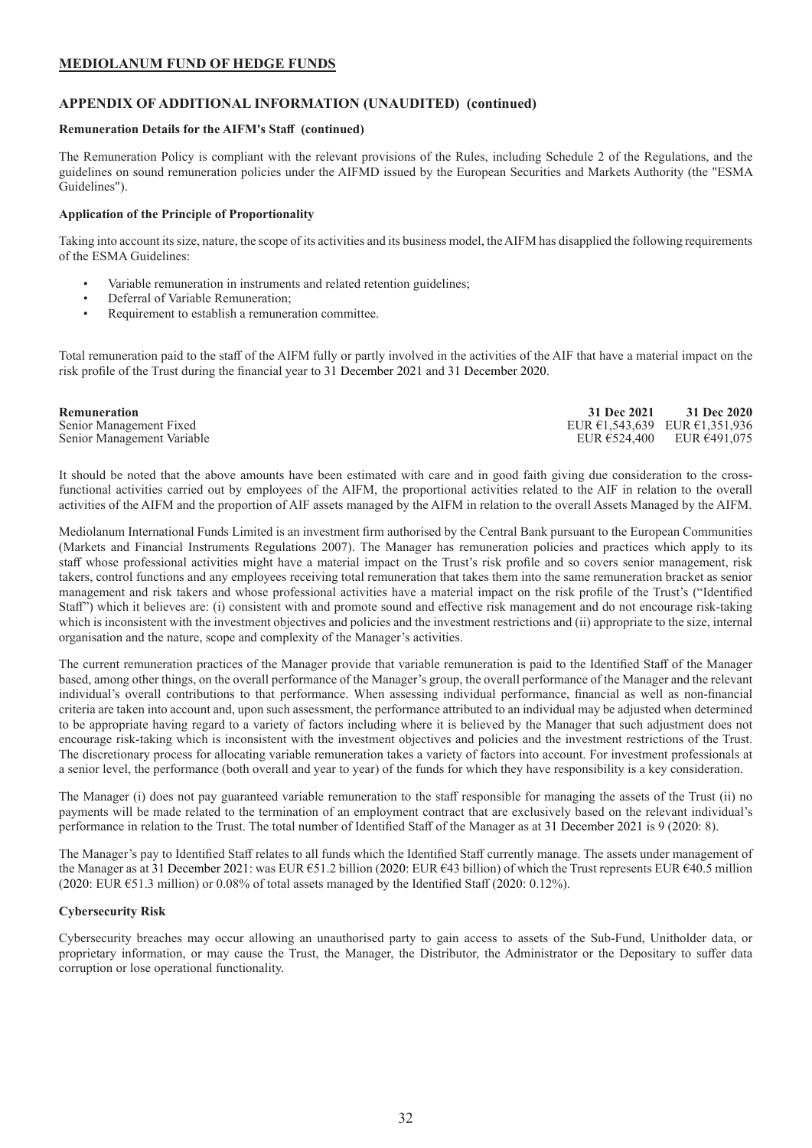### **APPENDIX OF ADDITIONAL INFORMATION (UNAUDITED) (continued)**

### **Remuneration Details for the AIFM's Staff (continued)**

The Remuneration Policy is compliant with the relevant provisions of the Rules, including Schedule 2 of the Regulations, and the guidelines on sound remuneration policies under the AIFMD issued by the European Securities and Markets Authority (the "ESMA Guidelines").

### **Application of the Principle of Proportionality**

Taking into account its size, nature, the scope of its activities and its business model, the AIFM has disapplied the following requirements of the ESMA Guidelines:

- Variable remuneration in instruments and related retention guidelines;
- Deferral of Variable Remuneration:
- Requirement to establish a remuneration committee.

Total remuneration paid to the staff of the AIFM fully or partly involved in the activities of the AIF that have a material impact on the risk profile of the Trust during the financial year to 31 December 2021 and 31 December 2020.

| Remuneration               | <b>31 Dec 2021</b>                                | 31 Dec 2020                                   |
|----------------------------|---------------------------------------------------|-----------------------------------------------|
| Senior Management Fixed    | EUR $\epsilon$ 1.543.639 EUR $\epsilon$ 1.351.936 |                                               |
| Senior Management Variable |                                                   | EUR $\epsilon$ 524,400 EUR $\epsilon$ 491,075 |

It should be noted that the above amounts have been estimated with care and in good faith giving due consideration to the crossfunctional activities carried out by employees of the AIFM, the proportional activities related to the AIF in relation to the overall activities of the AIFM and the proportion of AIF assets managed by the AIFM in relation to the overall Assets Managed by the AIFM.

Mediolanum International Funds Limited is an investment firm authorised by the Central Bank pursuant to the European Communities (Markets and Financial Instruments Regulations 2007). The Manager has remuneration policies and practices which apply to its staff whose professional activities might have a material impact on the Trust's risk profile and so covers senior management, risk takers, control functions and any employees receiving total remuneration that takes them into the same remuneration bracket as senior management and risk takers and whose professional activities have a material impact on the risk profile of the Trust's ("Identified Staff") which it believes are: (i) consistent with and promote sound and effective risk management and do not encourage risk-taking which is inconsistent with the investment objectives and policies and the investment restrictions and (ii) appropriate to the size, internal organisation and the nature, scope and complexity of the Manager's activities.

The current remuneration practices of the Manager provide that variable remuneration is paid to the Identified Staff of the Manager based, among other things, on the overall performance of the Manager's group, the overall performance of the Manager and the relevant individual's overall contributions to that performance. When assessing individual performance, financial as well as non-financial criteria are taken into account and, upon such assessment, the performance attributed to an individual may be adjusted when determined to be appropriate having regard to a variety of factors including where it is believed by the Manager that such adjustment does not encourage risk-taking which is inconsistent with the investment objectives and policies and the investment restrictions of the Trust. The discretionary process for allocating variable remuneration takes a variety of factors into account. For investment professionals at a senior level, the performance (both overall and year to year) of the funds for which they have responsibility is a key consideration.

The Manager (i) does not pay guaranteed variable remuneration to the staff responsible for managing the assets of the Trust (ii) no payments will be made related to the termination of an employment contract that are exclusively based on the relevant individual's performance in relation to the Trust. The total number of Identified Staff of the Manager as at 31 December 2021 is 9 (2020: 8).

The Manager's pay to Identified Staff relates to all funds which the Identified Staff currently manage. The assets under management of the Manager as at 31 December 2021: was EUR €51.2 billion (2020: EUR €43 billion) of which the Trust represents EUR €40.5 million (2020: EUR €51.3 million) or 0.08% of total assets managed by the Identified Staff (2020: 0.12%).

#### **Cybersecurity Risk**

Cybersecurity breaches may occur allowing an unauthorised party to gain access to assets of the Sub-Fund, Unitholder data, or proprietary information, or may cause the Trust, the Manager, the Distributor, the Administrator or the Depositary to suffer data corruption or lose operational functionality.